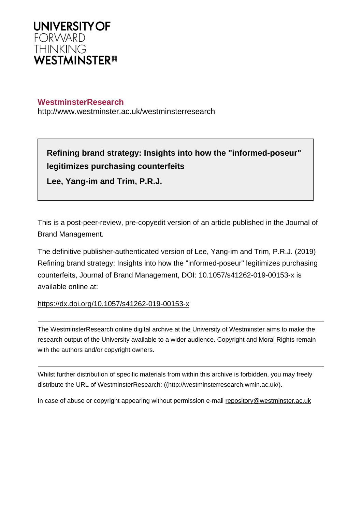

## **WestminsterResearch**

http://www.westminster.ac.uk/westminsterresearch

# **Refining brand strategy: Insights into how the "informed-poseur" legitimizes purchasing counterfeits**

**Lee, Yang-im and Trim, P.R.J.**

This is a post-peer-review, pre-copyedit version of an article published in the Journal of Brand Management.

The definitive publisher-authenticated version of Lee, Yang-im and Trim, P.R.J. (2019) Refining brand strategy: Insights into how the "informed-poseur" legitimizes purchasing counterfeits, Journal of Brand Management, DOI: 10.1057/s41262-019-00153-x is available online at:

# <https://dx.doi.org/10.1057/s41262-019-00153-x>

The WestminsterResearch online digital archive at the University of Westminster aims to make the research output of the University available to a wider audience. Copyright and Moral Rights remain with the authors and/or copyright owners.

Whilst further distribution of specific materials from within this archive is forbidden, you may freely distribute the URL of WestminsterResearch: [\(\(http://westminsterresearch.wmin.ac.uk/](http://westminsterresearch.wmin.ac.uk/)).

In case of abuse or copyright appearing without permission e-mail <repository@westminster.ac.uk>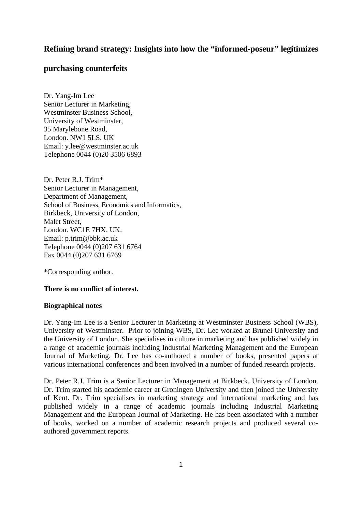# **Refining brand strategy: Insights into how the "informed-poseur" legitimizes**

## **purchasing counterfeits**

Dr. Yang-Im Lee Senior Lecturer in Marketing, Westminster Business School, University of Westminster, 35 Marylebone Road, London. NW1 5LS. UK Email: y.lee@westminster.ac.uk Telephone 0044 (0)20 3506 6893

Dr. Peter R.J. Trim\* Senior Lecturer in Management, Department of Management, School of Business, Economics and Informatics, Birkbeck, University of London, Malet Street, London. WC1E 7HX. UK. Email: p.trim@bbk.ac.uk Telephone 0044 (0)207 631 6764 Fax 0044 (0)207 631 6769

\*Corresponding author.

## **There is no conflict of interest.**

#### **Biographical notes**

Dr. Yang-Im Lee is a Senior Lecturer in Marketing at Westminster Business School (WBS), University of Westminster. Prior to joining WBS, Dr. Lee worked at Brunel University and the University of London. She specialises in culture in marketing and has published widely in a range of academic journals including Industrial Marketing Management and the European Journal of Marketing. Dr. Lee has co-authored a number of books, presented papers at various international conferences and been involved in a number of funded research projects.

Dr. Peter R.J. Trim is a Senior Lecturer in Management at Birkbeck, University of London. Dr. Trim started his academic career at Groningen University and then joined the University of Kent. Dr. Trim specialises in marketing strategy and international marketing and has published widely in a range of academic journals including Industrial Marketing Management and the European Journal of Marketing. He has been associated with a number of books, worked on a number of academic research projects and produced several coauthored government reports.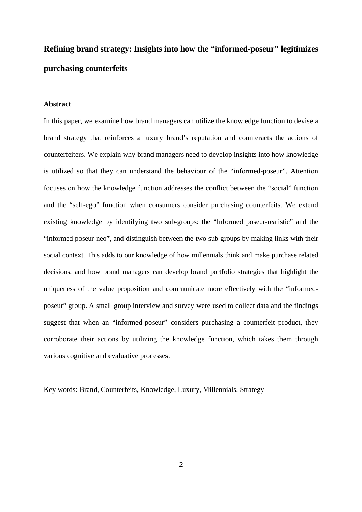# **Refining brand strategy: Insights into how the "informed-poseur" legitimizes purchasing counterfeits**

## **Abstract**

In this paper, we examine how brand managers can utilize the knowledge function to devise a brand strategy that reinforces a luxury brand's reputation and counteracts the actions of counterfeiters. We explain why brand managers need to develop insights into how knowledge is utilized so that they can understand the behaviour of the "informed-poseur". Attention focuses on how the knowledge function addresses the conflict between the "social" function and the "self-ego" function when consumers consider purchasing counterfeits. We extend existing knowledge by identifying two sub-groups: the "Informed poseur-realistic" and the "informed poseur-neo", and distinguish between the two sub-groups by making links with their social context. This adds to our knowledge of how millennials think and make purchase related decisions, and how brand managers can develop brand portfolio strategies that highlight the uniqueness of the value proposition and communicate more effectively with the "informedposeur" group. A small group interview and survey were used to collect data and the findings suggest that when an "informed-poseur" considers purchasing a counterfeit product, they corroborate their actions by utilizing the knowledge function, which takes them through various cognitive and evaluative processes.

Key words: Brand, Counterfeits, Knowledge, Luxury, Millennials, Strategy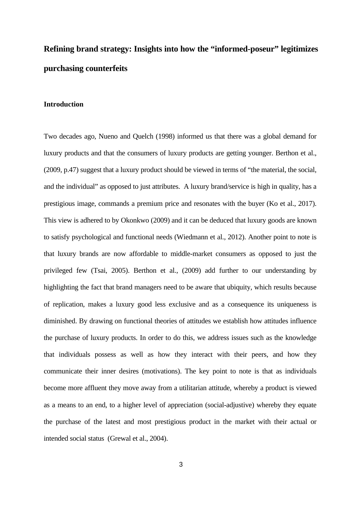# **Refining brand strategy: Insights into how the "informed-poseur" legitimizes purchasing counterfeits**

### **Introduction**

Two decades ago, Nueno and Quelch (1998) informed us that there was a global demand for luxury products and that the consumers of luxury products are getting younger. Berthon et al., (2009, p.47) suggest that a luxury product should be viewed in terms of "the material, the social, and the individual" as opposed to just attributes. A luxury brand/service is high in quality, has a prestigious image, commands a premium price and resonates with the buyer (Ko et al., 2017). This view is adhered to by Okonkwo (2009) and it can be deduced that luxury goods are known to satisfy psychological and functional needs (Wiedmann et al., 2012). Another point to note is that luxury brands are now affordable to middle-market consumers as opposed to just the privileged few (Tsai, 2005). Berthon et al., (2009) add further to our understanding by highlighting the fact that brand managers need to be aware that ubiquity, which results because of replication, makes a luxury good less exclusive and as a consequence its uniqueness is diminished. By drawing on functional theories of attitudes we establish how attitudes influence the purchase of luxury products. In order to do this, we address issues such as the knowledge that individuals possess as well as how they interact with their peers, and how they communicate their inner desires (motivations). The key point to note is that as individuals become more affluent they move away from a utilitarian attitude, whereby a product is viewed as a means to an end, to a higher level of appreciation (social-adjustive) whereby they equate the purchase of the latest and most prestigious product in the market with their actual or intended social status (Grewal et al., 2004).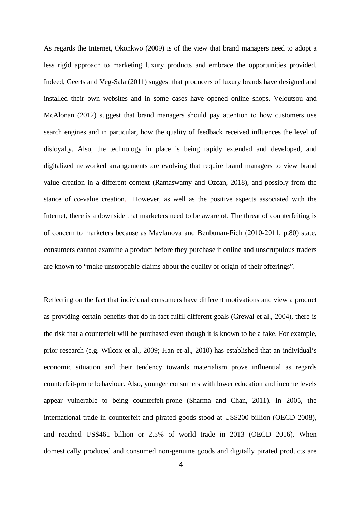As regards the Internet, Okonkwo (2009) is of the view that brand managers need to adopt a less rigid approach to marketing luxury products and embrace the opportunities provided. Indeed, Geerts and Veg-Sala (2011) suggest that producers of luxury brands have designed and installed their own websites and in some cases have opened online shops. Veloutsou and McAlonan (2012) suggest that brand managers should pay attention to how customers use search engines and in particular, how the quality of feedback received influences the level of disloyalty. Also, the technology in place is being rapidy extended and developed, and digitalized networked arrangements are evolving that require brand managers to view brand value creation in a different context (Ramaswamy and Ozcan, 2018), and possibly from the stance of co-value creation. However, as well as the positive aspects associated with the Internet, there is a downside that marketers need to be aware of. The threat of counterfeiting is of concern to marketers because as Mavlanova and Benbunan-Fich (2010-2011, p.80) state, consumers cannot examine a product before they purchase it online and unscrupulous traders are known to "make unstoppable claims about the quality or origin of their offerings".

Reflecting on the fact that individual consumers have different motivations and view a product as providing certain benefits that do in fact fulfil different goals (Grewal et al., 2004), there is the risk that a counterfeit will be purchased even though it is known to be a fake. For example, prior research (e.g. Wilcox et al., 2009; Han et al., 2010) has established that an individual's economic situation and their tendency towards materialism prove influential as regards counterfeit-prone behaviour. Also, younger consumers with lower education and income levels appear vulnerable to being counterfeit-prone (Sharma and Chan, 2011). In 2005, the international trade in counterfeit and pirated goods stood at US\$200 billion (OECD 2008), and reached US\$461 billion or 2.5% of world trade in 2013 (OECD 2016). When domestically produced and consumed non-genuine goods and digitally pirated products are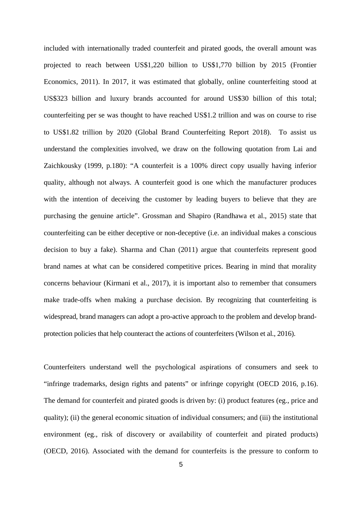included with internationally traded counterfeit and pirated goods, the overall amount was projected to reach between US\$1,220 billion to US\$1,770 billion by 2015 (Frontier Economics, 2011). In 2017, it was estimated that globally, online counterfeiting stood at US\$323 billion and luxury brands accounted for around US\$30 billion of this total; counterfeiting per se was thought to have reached US\$1.2 trillion and was on course to rise to US\$1.82 trillion by 2020 (Global Brand Counterfeiting Report 2018). To assist us understand the complexities involved, we draw on the following quotation from Lai and Zaichkousky (1999, p.180): "A counterfeit is a 100% direct copy usually having inferior quality, although not always. A counterfeit good is one which the manufacturer produces with the intention of deceiving the customer by leading buyers to believe that they are purchasing the genuine article". Grossman and Shapiro (Randhawa et al., 2015) state that counterfeiting can be either deceptive or non-deceptive (i.e. an individual makes a conscious decision to buy a fake). Sharma and Chan (2011) argue that counterfeits represent good brand names at what can be considered competitive prices. Bearing in mind that morality concerns behaviour (Kirmani et al., 2017), it is important also to remember that consumers make trade-offs when making a purchase decision. By recognizing that counterfeiting is widespread, brand managers can adopt a pro-active approach to the problem and develop brandprotection policies that help counteract the actions of counterfeiters (Wilson et al., 2016).

Counterfeiters understand well the psychological aspirations of consumers and seek to "infringe trademarks, design rights and patents" or infringe copyright (OECD 2016, p.16). The demand for counterfeit and pirated goods is driven by: (i) product features (eg., price and quality); (ii) the general economic situation of individual consumers; and (iii) the institutional environment (eg., risk of discovery or availability of counterfeit and pirated products) (OECD, 2016). Associated with the demand for counterfeits is the pressure to conform to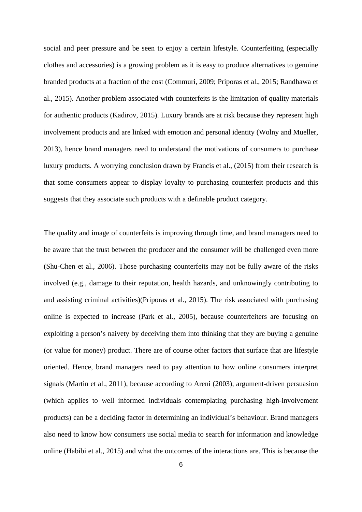social and peer pressure and be seen to enjoy a certain lifestyle. Counterfeiting (especially clothes and accessories) is a growing problem as it is easy to produce alternatives to genuine branded products at a fraction of the cost (Commuri, 2009; Priporas et al., 2015; Randhawa et al., 2015). Another problem associated with counterfeits is the limitation of quality materials for authentic products (Kadirov, 2015). Luxury brands are at risk because they represent high involvement products and are linked with emotion and personal identity (Wolny and Mueller, 2013), hence brand managers need to understand the motivations of consumers to purchase luxury products. A worrying conclusion drawn by Francis et al., (2015) from their research is that some consumers appear to display loyalty to purchasing counterfeit products and this suggests that they associate such products with a definable product category.

The quality and image of counterfeits is improving through time, and brand managers need to be aware that the trust between the producer and the consumer will be challenged even more (Shu-Chen et al., 2006). Those purchasing counterfeits may not be fully aware of the risks involved (e.g., damage to their reputation, health hazards, and unknowingly contributing to and assisting criminal activities)(Priporas et al., 2015). The risk associated with purchasing online is expected to increase (Park et al., 2005), because counterfeiters are focusing on exploiting a person's naivety by deceiving them into thinking that they are buying a genuine (or value for money) product. There are of course other factors that surface that are lifestyle oriented. Hence, brand managers need to pay attention to how online consumers interpret signals (Martin et al., 2011), because according to Areni (2003), argument-driven persuasion (which applies to well informed individuals contemplating purchasing high-involvement products) can be a deciding factor in determining an individual's behaviour. Brand managers also need to know how consumers use social media to search for information and knowledge online (Habibi et al., 2015) and what the outcomes of the interactions are. This is because the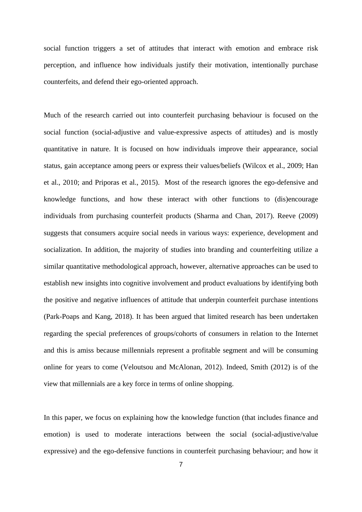social function triggers a set of attitudes that interact with emotion and embrace risk perception, and influence how individuals justify their motivation, intentionally purchase counterfeits, and defend their ego-oriented approach.

Much of the research carried out into counterfeit purchasing behaviour is focused on the social function (social-adjustive and value-expressive aspects of attitudes) and is mostly quantitative in nature. It is focused on how individuals improve their appearance, social status, gain acceptance among peers or express their values/beliefs (Wilcox et al., 2009; Han et al., 2010; and Priporas et al., 2015). Most of the research ignores the ego-defensive and knowledge functions, and how these interact with other functions to (dis)encourage individuals from purchasing counterfeit products (Sharma and Chan, 2017). Reeve (2009) suggests that consumers acquire social needs in various ways: experience, development and socialization. In addition, the majority of studies into branding and counterfeiting utilize a similar quantitative methodological approach, however, alternative approaches can be used to establish new insights into cognitive involvement and product evaluations by identifying both the positive and negative influences of attitude that underpin counterfeit purchase intentions (Park-Poaps and Kang, 2018). It has been argued that limited research has been undertaken regarding the special preferences of groups/cohorts of consumers in relation to the Internet and this is amiss because millennials represent a profitable segment and will be consuming online for years to come (Veloutsou and McAlonan, 2012). Indeed, Smith (2012) is of the view that millennials are a key force in terms of online shopping.

In this paper, we focus on explaining how the knowledge function (that includes finance and emotion) is used to moderate interactions between the social (social-adjustive/value expressive) and the ego-defensive functions in counterfeit purchasing behaviour; and how it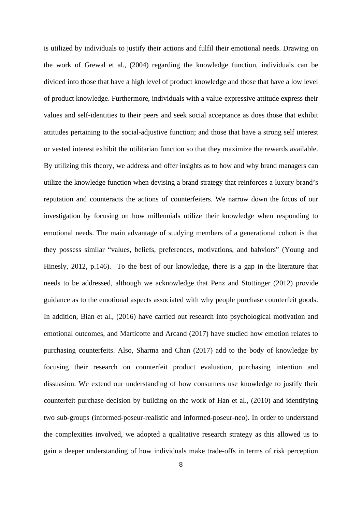is utilized by individuals to justify their actions and fulfil their emotional needs. Drawing on the work of Grewal et al., (2004) regarding the knowledge function, individuals can be divided into those that have a high level of product knowledge and those that have a low level of product knowledge. Furthermore, individuals with a value-expressive attitude express their values and self-identities to their peers and seek social acceptance as does those that exhibit attitudes pertaining to the social-adjustive function; and those that have a strong self interest or vested interest exhibit the utilitarian function so that they maximize the rewards available. By utilizing this theory, we address and offer insights as to how and why brand managers can utilize the knowledge function when devising a brand strategy that reinforces a luxury brand's reputation and counteracts the actions of counterfeiters. We narrow down the focus of our investigation by focusing on how millennials utilize their knowledge when responding to emotional needs. The main advantage of studying members of a generational cohort is that they possess similar "values, beliefs, preferences, motivations, and bahviors" (Young and Hinesly, 2012, p.146). To the best of our knowledge, there is a gap in the literature that needs to be addressed, although we acknowledge that Penz and Stottinger (2012) provide guidance as to the emotional aspects associated with why people purchase counterfeit goods. In addition, Bian et al., (2016) have carried out research into psychological motivation and emotional outcomes, and Marticotte and Arcand (2017) have studied how emotion relates to purchasing counterfeits. Also, Sharma and Chan (2017) add to the body of knowledge by focusing their research on counterfeit product evaluation, purchasing intention and dissuasion. We extend our understanding of how consumers use knowledge to justify their counterfeit purchase decision by building on the work of Han et al., (2010) and identifying two sub-groups (informed-poseur-realistic and informed-poseur-neo). In order to understand the complexities involved, we adopted a qualitative research strategy as this allowed us to gain a deeper understanding of how individuals make trade-offs in terms of risk perception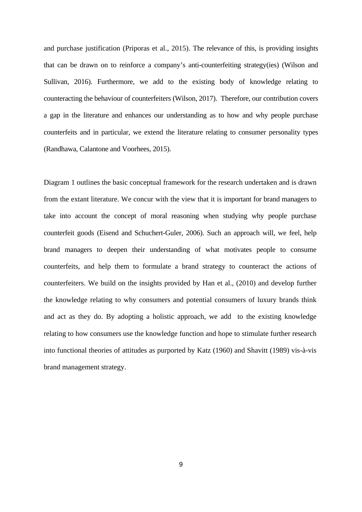and purchase justification (Priporas et al., 2015). The relevance of this, is providing insights that can be drawn on to reinforce a company's anti-counterfeiting strategy(ies) (Wilson and Sullivan, 2016). Furthermore, we add to the existing body of knowledge relating to counteracting the behaviour of counterfeiters (Wilson, 2017). Therefore, our contribution covers a gap in the literature and enhances our understanding as to how and why people purchase counterfeits and in particular, we extend the literature relating to consumer personality types (Randhawa, Calantone and Voorhees, 2015).

Diagram 1 outlines the basic conceptual framework for the research undertaken and is drawn from the extant literature. We concur with the view that it is important for brand managers to take into account the concept of moral reasoning when studying why people purchase counterfeit goods (Eisend and Schuchert-Guler, 2006). Such an approach will, we feel, help brand managers to deepen their understanding of what motivates people to consume counterfeits, and help them to formulate a brand strategy to counteract the actions of counterfeiters. We build on the insights provided by Han et al., (2010) and develop further the knowledge relating to why consumers and potential consumers of luxury brands think and act as they do. By adopting a holistic approach, we add to the existing knowledge relating to how consumers use the knowledge function and hope to stimulate further research into functional theories of attitudes as purported by Katz (1960) and Shavitt (1989) vis-à-vis brand management strategy.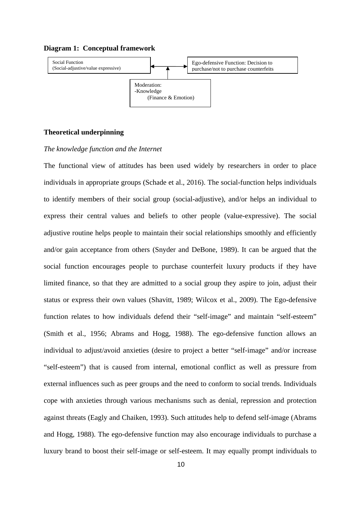#### **Diagram 1: Conceptual framework**



#### **Theoretical underpinning**

#### *The knowledge function and the Internet*

The functional view of attitudes has been used widely by researchers in order to place individuals in appropriate groups (Schade et al., 2016). The social-function helps individuals to identify members of their social group (social-adjustive), and/or helps an individual to express their central values and beliefs to other people (value-expressive). The social adjustive routine helps people to maintain their social relationships smoothly and efficiently and/or gain acceptance from others (Snyder and DeBone, 1989). It can be argued that the social function encourages people to purchase counterfeit luxury products if they have limited finance, so that they are admitted to a social group they aspire to join, adjust their status or express their own values (Shavitt, 1989; Wilcox et al., 2009). The Ego-defensive function relates to how individuals defend their "self-image" and maintain "self-esteem" (Smith et al., 1956; Abrams and Hogg, 1988). The ego-defensive function allows an individual to adjust/avoid anxieties (desire to project a better "self-image" and/or increase "self-esteem") that is caused from internal, emotional conflict as well as pressure from external influences such as peer groups and the need to conform to social trends. Individuals cope with anxieties through various mechanisms such as denial, repression and protection against threats (Eagly and Chaiken, 1993). Such attitudes help to defend self-image (Abrams and Hogg, 1988). The ego-defensive function may also encourage individuals to purchase a luxury brand to boost their self-image or self-esteem. It may equally prompt individuals to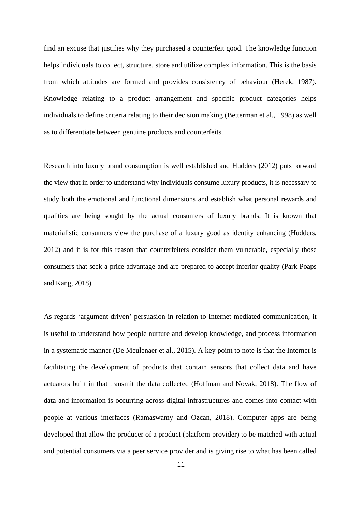find an excuse that justifies why they purchased a counterfeit good. The knowledge function helps individuals to collect, structure, store and utilize complex information. This is the basis from which attitudes are formed and provides consistency of behaviour (Herek, 1987). Knowledge relating to a product arrangement and specific product categories helps individuals to define criteria relating to their decision making (Betterman et al., 1998) as well as to differentiate between genuine products and counterfeits.

Research into luxury brand consumption is well established and Hudders (2012) puts forward the view that in order to understand why individuals consume luxury products, it is necessary to study both the emotional and functional dimensions and establish what personal rewards and qualities are being sought by the actual consumers of luxury brands. It is known that materialistic consumers view the purchase of a luxury good as identity enhancing (Hudders, 2012) and it is for this reason that counterfeiters consider them vulnerable, especially those consumers that seek a price advantage and are prepared to accept inferior quality (Park-Poaps and Kang, 2018).

As regards 'argument-driven' persuasion in relation to Internet mediated communication, it is useful to understand how people nurture and develop knowledge, and process information in a systematic manner (De Meulenaer et al., 2015). A key point to note is that the Internet is facilitating the development of products that contain sensors that collect data and have actuators built in that transmit the data collected (Hoffman and Novak, 2018). The flow of data and information is occurring across digital infrastructures and comes into contact with people at various interfaces (Ramaswamy and Ozcan, 2018). Computer apps are being developed that allow the producer of a product (platform provider) to be matched with actual and potential consumers via a peer service provider and is giving rise to what has been called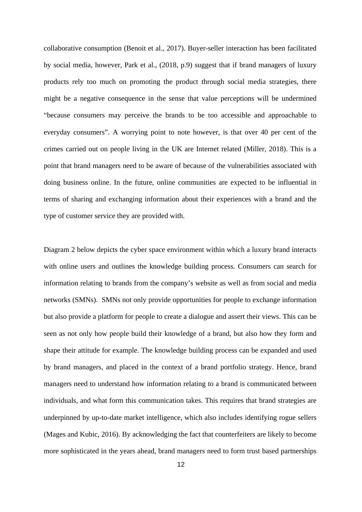collaborative consumption (Benoit et al., 2017). Buyer-seller interaction has been facilitated by social media, however, Park et al., (2018, p.9) suggest that if brand managers of luxury products rely too much on promoting the product through social media strategies, there might be a negative consequence in the sense that value perceptions will be undermined "because consumers may perceive the brands to be too accessible and approachable to everyday consumers". A worrying point to note however, is that over 40 per cent of the crimes carried out on people living in the UK are Internet related (Miller, 2018). This is a point that brand managers need to be aware of because of the vulnerabilities associated with doing business online. In the future, online communities are expected to be influential in terms of sharing and exchanging information about their experiences with a brand and the type of customer service they are provided with.

Diagram 2 below depicts the cyber space environment within which a luxury brand interacts with online users and outlines the knowledge building process. Consumers can search for information relating to brands from the company's website as well as from social and media networks (SMNs). SMNs not only provide opportunities for people to exchange information but also provide a platform for people to create a dialogue and assert their views. This can be seen as not only how people build their knowledge of a brand, but also how they form and shape their attitude for example. The knowledge building process can be expanded and used by brand managers, and placed in the context of a brand portfolio strategy. Hence, brand managers need to understand how information relating to a brand is communicated between individuals, and what form this communication takes. This requires that brand strategies are underpinned by up-to-date market intelligence, which also includes identifying rogue sellers (Mages and Kubic, 2016). By acknowledging the fact that counterfeiters are likely to become more sophisticated in the years ahead, brand managers need to form trust based partnerships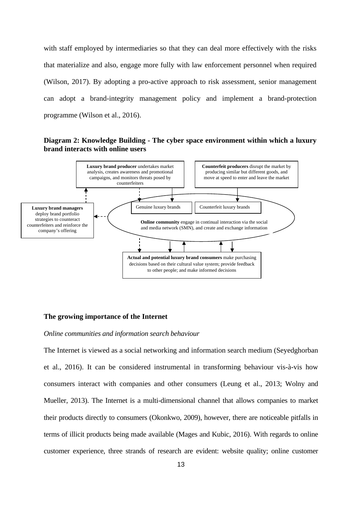with staff employed by intermediaries so that they can deal more effectively with the risks that materialize and also, engage more fully with law enforcement personnel when required (Wilson, 2017). By adopting a pro-active approach to risk assessment, senior management can adopt a brand-integrity management policy and implement a brand-protection programme (Wilson et al., 2016).

## **Diagram 2: Knowledge Building - The cyber space environment within which a luxury brand interacts with online users**



#### **The growing importance of the Internet**

#### *Online communities and information search behaviour*

The Internet is viewed as a social networking and information search medium (Seyedghorban et al., 2016). It can be considered instrumental in transforming behaviour vis-à-vis how consumers interact with companies and other consumers (Leung et al., 2013; Wolny and Mueller, 2013). The Internet is a multi-dimensional channel that allows companies to market their products directly to consumers (Okonkwo, 2009), however, there are noticeable pitfalls in terms of illicit products being made available (Mages and Kubic, 2016). With regards to online customer experience, three strands of research are evident: website quality; online customer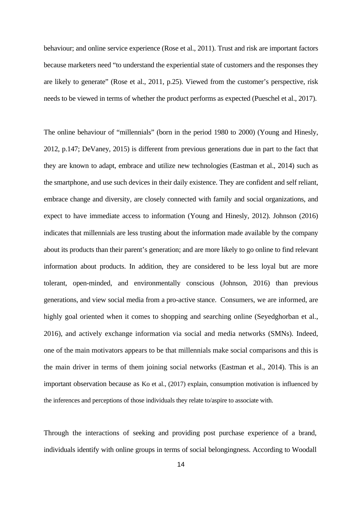behaviour; and online service experience (Rose et al., 2011). Trust and risk are important factors because marketers need "to understand the experiential state of customers and the responses they are likely to generate" (Rose et al., 2011, p.25). Viewed from the customer's perspective, risk needs to be viewed in terms of whether the product performs as expected (Pueschel et al., 2017).

The online behaviour of "millennials" (born in the period 1980 to 2000) (Young and Hinesly, 2012, p.147; DeVaney, 2015) is different from previous generations due in part to the fact that they are known to adapt, embrace and utilize new technologies (Eastman et al., 2014) such as the smartphone, and use such devices in their daily existence. They are confident and self reliant, embrace change and diversity, are closely connected with family and social organizations, and expect to have immediate access to information (Young and Hinesly, 2012). Johnson (2016) indicates that millennials are less trusting about the information made available by the company about its products than their parent's generation; and are more likely to go online to find relevant information about products. In addition, they are considered to be less loyal but are more tolerant, open-minded, and environmentally conscious (Johnson, 2016) than previous generations, and view social media from a pro-active stance. Consumers, we are informed, are highly goal oriented when it comes to shopping and searching online (Seyedghorban et al., 2016), and actively exchange information via social and media networks (SMNs). Indeed, one of the main motivators appears to be that millennials make social comparisons and this is the main driver in terms of them joining social networks (Eastman et al., 2014). This is an important observation because as Ko et al., (2017) explain, consumption motivation is influenced by the inferences and perceptions of those individuals they relate to/aspire to associate with.

Through the interactions of seeking and providing post purchase experience of a brand, individuals identify with online groups in terms of social belongingness. According to Woodall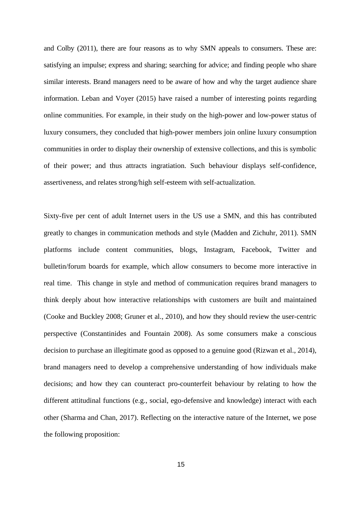and Colby (2011), there are four reasons as to why SMN appeals to consumers. These are: satisfying an impulse; express and sharing; searching for advice; and finding people who share similar interests. Brand managers need to be aware of how and why the target audience share information. Leban and Voyer (2015) have raised a number of interesting points regarding online communities. For example, in their study on the high-power and low-power status of luxury consumers, they concluded that high-power members join online luxury consumption communities in order to display their ownership of extensive collections, and this is symbolic of their power; and thus attracts ingratiation. Such behaviour displays self-confidence, assertiveness, and relates strong/high self-esteem with self-actualization.

Sixty-five per cent of adult Internet users in the US use a SMN, and this has contributed greatly to changes in communication methods and style (Madden and Zichuhr, 2011). SMN platforms include content communities, blogs, Instagram, Facebook, Twitter and bulletin/forum boards for example, which allow consumers to become more interactive in real time. This change in style and method of communication requires brand managers to think deeply about how interactive relationships with customers are built and maintained (Cooke and Buckley 2008; Gruner et al., 2010), and how they should review the user-centric perspective (Constantinides and Fountain 2008). As some consumers make a conscious decision to purchase an illegitimate good as opposed to a genuine good (Rizwan et al., 2014), brand managers need to develop a comprehensive understanding of how individuals make decisions; and how they can counteract pro-counterfeit behaviour by relating to how the different attitudinal functions (e.g., social, ego-defensive and knowledge) interact with each other (Sharma and Chan, 2017). Reflecting on the interactive nature of the Internet, we pose the following proposition: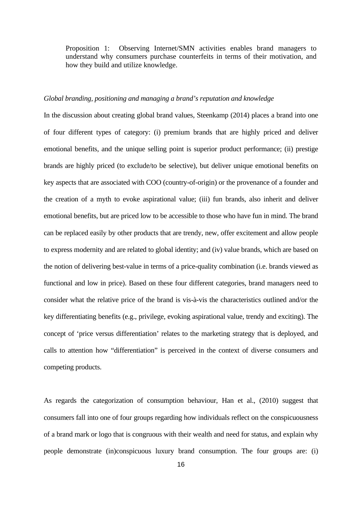Proposition 1: Observing Internet/SMN activities enables brand managers to understand why consumers purchase counterfeits in terms of their motivation, and how they build and utilize knowledge.

#### *Global branding, positioning and managing a brand's reputation and knowledge*

In the discussion about creating global brand values, Steenkamp (2014) places a brand into one of four different types of category: (i) premium brands that are highly priced and deliver emotional benefits, and the unique selling point is superior product performance; (ii) prestige brands are highly priced (to exclude/to be selective), but deliver unique emotional benefits on key aspects that are associated with COO (country-of-origin) or the provenance of a founder and the creation of a myth to evoke aspirational value; (iii) fun brands, also inherit and deliver emotional benefits, but are priced low to be accessible to those who have fun in mind. The brand can be replaced easily by other products that are trendy, new, offer excitement and allow people to express modernity and are related to global identity; and (iv) value brands, which are based on the notion of delivering best-value in terms of a price-quality combination (i.e. brands viewed as functional and low in price). Based on these four different categories, brand managers need to consider what the relative price of the brand is vis-à-vis the characteristics outlined and/or the key differentiating benefits (e.g., privilege, evoking aspirational value, trendy and exciting). The concept of 'price versus differentiation' relates to the marketing strategy that is deployed, and calls to attention how "differentiation" is perceived in the context of diverse consumers and competing products.

As regards the categorization of consumption behaviour, Han et al., (2010) suggest that consumers fall into one of four groups regarding how individuals reflect on the conspicuousness of a brand mark or logo that is congruous with their wealth and need for status, and explain why people demonstrate (in)conspicuous luxury brand consumption. The four groups are: (i)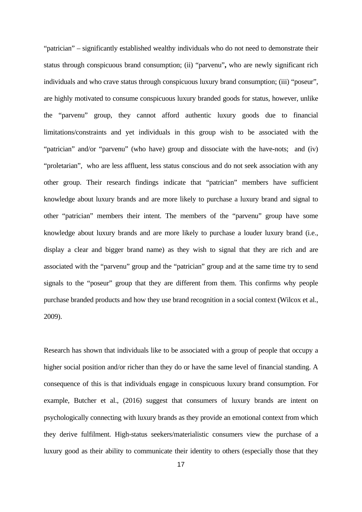"patrician" – significantly established wealthy individuals who do not need to demonstrate their status through conspicuous brand consumption; (ii) "parvenu"**,** who are newly significant rich individuals and who crave status through conspicuous luxury brand consumption; (iii) "poseur", are highly motivated to consume conspicuous luxury branded goods for status, however, unlike the "parvenu" group, they cannot afford authentic luxury goods due to financial limitations/constraints and yet individuals in this group wish to be associated with the "patrician" and/or "parvenu" (who have) group and dissociate with the have-nots; and (iv) "proletarian", who are less affluent, less status conscious and do not seek association with any other group. Their research findings indicate that "patrician" members have sufficient knowledge about luxury brands and are more likely to purchase a luxury brand and signal to other "patrician" members their intent. The members of the "parvenu" group have some knowledge about luxury brands and are more likely to purchase a louder luxury brand (i.e., display a clear and bigger brand name) as they wish to signal that they are rich and are associated with the "parvenu" group and the "patrician" group and at the same time try to send signals to the "poseur" group that they are different from them. This confirms why people purchase branded products and how they use brand recognition in a social context (Wilcox et al., 2009).

Research has shown that individuals like to be associated with a group of people that occupy a higher social position and/or richer than they do or have the same level of financial standing. A consequence of this is that individuals engage in conspicuous luxury brand consumption. For example, Butcher et al., (2016) suggest that consumers of luxury brands are intent on psychologically connecting with luxury brands as they provide an emotional context from which they derive fulfilment. High-status seekers/materialistic consumers view the purchase of a luxury good as their ability to communicate their identity to others (especially those that they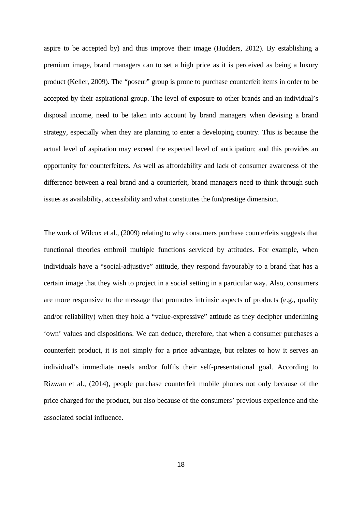aspire to be accepted by) and thus improve their image (Hudders, 2012). By establishing a premium image, brand managers can to set a high price as it is perceived as being a luxury product (Keller, 2009). The "poseur" group is prone to purchase counterfeit items in order to be accepted by their aspirational group. The level of exposure to other brands and an individual's disposal income, need to be taken into account by brand managers when devising a brand strategy, especially when they are planning to enter a developing country. This is because the actual level of aspiration may exceed the expected level of anticipation; and this provides an opportunity for counterfeiters. As well as affordability and lack of consumer awareness of the difference between a real brand and a counterfeit, brand managers need to think through such issues as availability, accessibility and what constitutes the fun/prestige dimension.

The work of Wilcox et al., (2009) relating to why consumers purchase counterfeits suggests that functional theories embroil multiple functions serviced by attitudes. For example, when individuals have a "social-adjustive" attitude, they respond favourably to a brand that has a certain image that they wish to project in a social setting in a particular way. Also, consumers are more responsive to the message that promotes intrinsic aspects of products (e.g., quality and/or reliability) when they hold a "value-expressive" attitude as they decipher underlining 'own' values and dispositions. We can deduce, therefore, that when a consumer purchases a counterfeit product, it is not simply for a price advantage, but relates to how it serves an individual's immediate needs and/or fulfils their self-presentational goal. According to Rizwan et al., (2014), people purchase counterfeit mobile phones not only because of the price charged for the product, but also because of the consumers' previous experience and the associated social influence.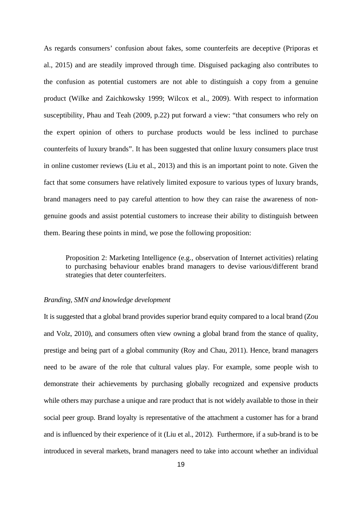As regards consumers' confusion about fakes, some counterfeits are deceptive (Priporas et al., 2015) and are steadily improved through time. Disguised packaging also contributes to the confusion as potential customers are not able to distinguish a copy from a genuine product (Wilke and Zaichkowsky 1999; Wilcox et al., 2009). With respect to information susceptibility, Phau and Teah (2009, p.22) put forward a view: "that consumers who rely on the expert opinion of others to purchase products would be less inclined to purchase counterfeits of luxury brands". It has been suggested that online luxury consumers place trust in online customer reviews (Liu et al., 2013) and this is an important point to note. Given the fact that some consumers have relatively limited exposure to various types of luxury brands, brand managers need to pay careful attention to how they can raise the awareness of nongenuine goods and assist potential customers to increase their ability to distinguish between them. Bearing these points in mind, we pose the following proposition:

Proposition 2: Marketing Intelligence (e.g., observation of Internet activities) relating to purchasing behaviour enables brand managers to devise various/different brand strategies that deter counterfeiters.

#### *Branding, SMN and knowledge development*

It is suggested that a global brand provides superior brand equity compared to a local brand (Zou and Volz, 2010), and consumers often view owning a global brand from the stance of quality, prestige and being part of a global community (Roy and Chau, 2011). Hence, brand managers need to be aware of the role that cultural values play. For example, some people wish to demonstrate their achievements by purchasing globally recognized and expensive products while others may purchase a unique and rare product that is not widely available to those in their social peer group. Brand loyalty is representative of the attachment a customer has for a brand and is influenced by their experience of it (Liu et al., 2012). Furthermore, if a sub-brand is to be introduced in several markets, brand managers need to take into account whether an individual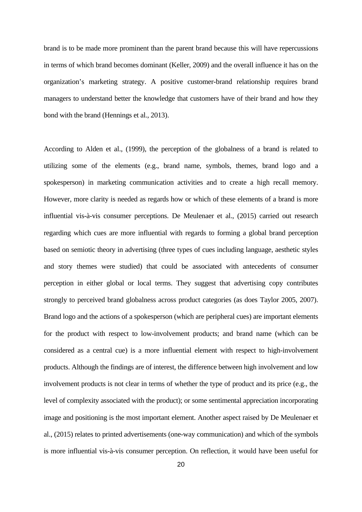brand is to be made more prominent than the parent brand because this will have repercussions in terms of which brand becomes dominant (Keller, 2009) and the overall influence it has on the organization's marketing strategy. A positive customer-brand relationship requires brand managers to understand better the knowledge that customers have of their brand and how they bond with the brand (Hennings et al., 2013).

According to Alden et al., (1999), the perception of the globalness of a brand is related to utilizing some of the elements (e.g., brand name, symbols, themes, brand logo and a spokesperson) in marketing communication activities and to create a high recall memory. However, more clarity is needed as regards how or which of these elements of a brand is more influential vis-à-vis consumer perceptions. De Meulenaer et al., (2015) carried out research regarding which cues are more influential with regards to forming a global brand perception based on semiotic theory in advertising (three types of cues including language, aesthetic styles and story themes were studied) that could be associated with antecedents of consumer perception in either global or local terms. They suggest that advertising copy contributes strongly to perceived brand globalness across product categories (as does Taylor 2005, 2007). Brand logo and the actions of a spokesperson (which are peripheral cues) are important elements for the product with respect to low-involvement products; and brand name (which can be considered as a central cue) is a more influential element with respect to high-involvement products. Although the findings are of interest, the difference between high involvement and low involvement products is not clear in terms of whether the type of product and its price (e.g., the level of complexity associated with the product); or some sentimental appreciation incorporating image and positioning is the most important element. Another aspect raised by De Meulenaer et al., (2015) relates to printed advertisements (one-way communication) and which of the symbols is more influential vis-à-vis consumer perception. On reflection, it would have been useful for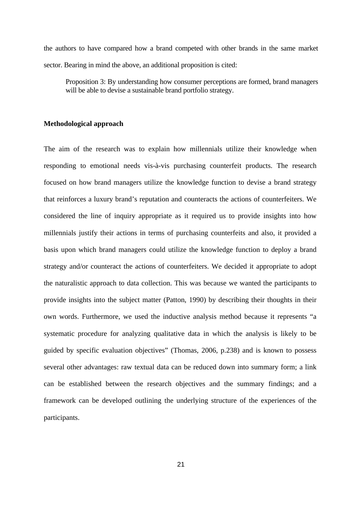the authors to have compared how a brand competed with other brands in the same market sector. Bearing in mind the above, an additional proposition is cited:

Proposition 3: By understanding how consumer perceptions are formed, brand managers will be able to devise a sustainable brand portfolio strategy.

#### **Methodological approach**

The aim of the research was to explain how millennials utilize their knowledge when responding to emotional needs vis-à-vis purchasing counterfeit products. The research focused on how brand managers utilize the knowledge function to devise a brand strategy that reinforces a luxury brand's reputation and counteracts the actions of counterfeiters. We considered the line of inquiry appropriate as it required us to provide insights into how millennials justify their actions in terms of purchasing counterfeits and also, it provided a basis upon which brand managers could utilize the knowledge function to deploy a brand strategy and/or counteract the actions of counterfeiters. We decided it appropriate to adopt the naturalistic approach to data collection. This was because we wanted the participants to provide insights into the subject matter (Patton, 1990) by describing their thoughts in their own words. Furthermore, we used the inductive analysis method because it represents "a systematic procedure for analyzing qualitative data in which the analysis is likely to be guided by specific evaluation objectives" (Thomas, 2006, p.238) and is known to possess several other advantages: raw textual data can be reduced down into summary form; a link can be established between the research objectives and the summary findings; and a framework can be developed outlining the underlying structure of the experiences of the participants.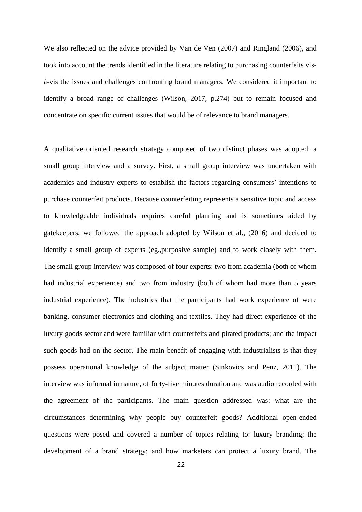We also reflected on the advice provided by Van de Ven (2007) and Ringland (2006), and took into account the trends identified in the literature relating to purchasing counterfeits visà-vis the issues and challenges confronting brand managers. We considered it important to identify a broad range of challenges (Wilson, 2017, p.274) but to remain focused and concentrate on specific current issues that would be of relevance to brand managers.

A qualitative oriented research strategy composed of two distinct phases was adopted: a small group interview and a survey. First, a small group interview was undertaken with academics and industry experts to establish the factors regarding consumers' intentions to purchase counterfeit products. Because counterfeiting represents a sensitive topic and access to knowledgeable individuals requires careful planning and is sometimes aided by gatekeepers, we followed the approach adopted by Wilson et al., (2016) and decided to identify a small group of experts (eg.,purposive sample) and to work closely with them. The small group interview was composed of four experts: two from academia (both of whom had industrial experience) and two from industry (both of whom had more than 5 years industrial experience). The industries that the participants had work experience of were banking, consumer electronics and clothing and textiles. They had direct experience of the luxury goods sector and were familiar with counterfeits and pirated products; and the impact such goods had on the sector. The main benefit of engaging with industrialists is that they possess operational knowledge of the subject matter (Sinkovics and Penz, 2011). The interview was informal in nature, of forty-five minutes duration and was audio recorded with the agreement of the participants. The main question addressed was: what are the circumstances determining why people buy counterfeit goods? Additional open-ended questions were posed and covered a number of topics relating to: luxury branding; the development of a brand strategy; and how marketers can protect a luxury brand. The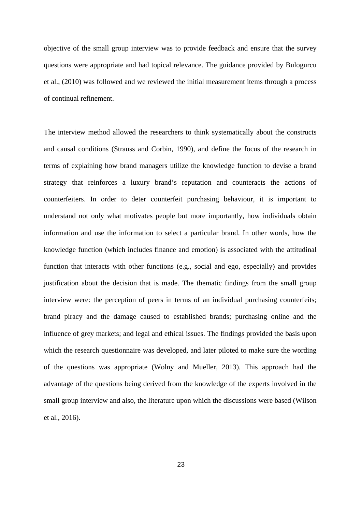objective of the small group interview was to provide feedback and ensure that the survey questions were appropriate and had topical relevance. The guidance provided by Bulogurcu et al., (2010) was followed and we reviewed the initial measurement items through a process of continual refinement.

The interview method allowed the researchers to think systematically about the constructs and causal conditions (Strauss and Corbin, 1990), and define the focus of the research in terms of explaining how brand managers utilize the knowledge function to devise a brand strategy that reinforces a luxury brand's reputation and counteracts the actions of counterfeiters. In order to deter counterfeit purchasing behaviour, it is important to understand not only what motivates people but more importantly, how individuals obtain information and use the information to select a particular brand. In other words, how the knowledge function (which includes finance and emotion) is associated with the attitudinal function that interacts with other functions (e.g., social and ego, especially) and provides justification about the decision that is made. The thematic findings from the small group interview were: the perception of peers in terms of an individual purchasing counterfeits; brand piracy and the damage caused to established brands; purchasing online and the influence of grey markets; and legal and ethical issues. The findings provided the basis upon which the research questionnaire was developed, and later piloted to make sure the wording of the questions was appropriate (Wolny and Mueller, 2013). This approach had the advantage of the questions being derived from the knowledge of the experts involved in the small group interview and also, the literature upon which the discussions were based (Wilson et al., 2016).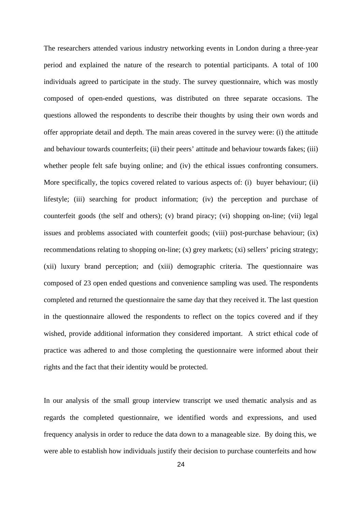The researchers attended various industry networking events in London during a three-year period and explained the nature of the research to potential participants. A total of 100 individuals agreed to participate in the study. The survey questionnaire, which was mostly composed of open-ended questions, was distributed on three separate occasions. The questions allowed the respondents to describe their thoughts by using their own words and offer appropriate detail and depth. The main areas covered in the survey were: (i) the attitude and behaviour towards counterfeits; (ii) their peers' attitude and behaviour towards fakes; (iii) whether people felt safe buying online; and (iv) the ethical issues confronting consumers. More specifically, the topics covered related to various aspects of: (i) buyer behaviour; (ii) lifestyle; (iii) searching for product information; (iv) the perception and purchase of counterfeit goods (the self and others); (v) brand piracy; (vi) shopping on-line; (vii) legal issues and problems associated with counterfeit goods; (viii) post-purchase behaviour; (ix) recommendations relating to shopping on-line; (x) grey markets; (xi) sellers' pricing strategy; (xii) luxury brand perception; and (xiii) demographic criteria. The questionnaire was composed of 23 open ended questions and convenience sampling was used. The respondents completed and returned the questionnaire the same day that they received it. The last question in the questionnaire allowed the respondents to reflect on the topics covered and if they wished, provide additional information they considered important. A strict ethical code of practice was adhered to and those completing the questionnaire were informed about their rights and the fact that their identity would be protected.

In our analysis of the small group interview transcript we used thematic analysis and as regards the completed questionnaire, we identified words and expressions, and used frequency analysis in order to reduce the data down to a manageable size. By doing this, we were able to establish how individuals justify their decision to purchase counterfeits and how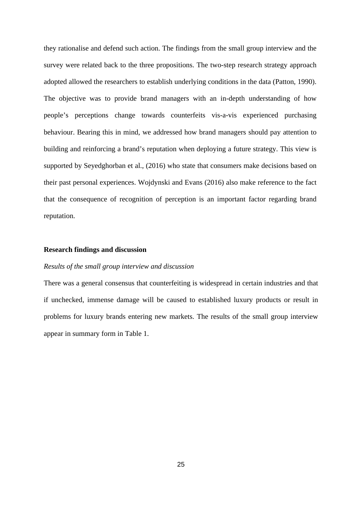they rationalise and defend such action. The findings from the small group interview and the survey were related back to the three propositions. The two-step research strategy approach adopted allowed the researchers to establish underlying conditions in the data (Patton, 1990). The objective was to provide brand managers with an in-depth understanding of how people's perceptions change towards counterfeits vis-a-vis experienced purchasing behaviour. Bearing this in mind, we addressed how brand managers should pay attention to building and reinforcing a brand's reputation when deploying a future strategy. This view is supported by Seyedghorban et al., (2016) who state that consumers make decisions based on their past personal experiences. Wojdynski and Evans (2016) also make reference to the fact that the consequence of recognition of perception is an important factor regarding brand reputation.

### **Research findings and discussion**

#### *Results of the small group interview and discussion*

There was a general consensus that counterfeiting is widespread in certain industries and that if unchecked, immense damage will be caused to established luxury products or result in problems for luxury brands entering new markets. The results of the small group interview appear in summary form in Table 1.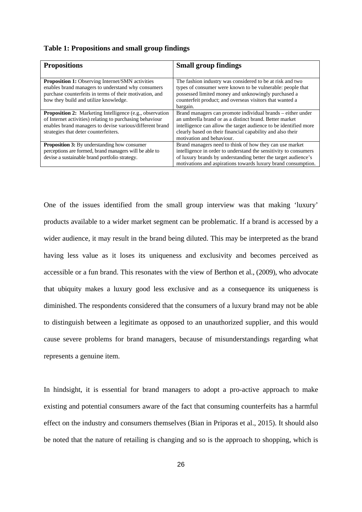|  |  |  | Table 1: Propositions and small group findings |
|--|--|--|------------------------------------------------|
|  |  |  |                                                |

| <b>Propositions</b>                                             | <b>Small group findings</b>                                      |
|-----------------------------------------------------------------|------------------------------------------------------------------|
|                                                                 |                                                                  |
| <b>Proposition 1:</b> Observing Internet/SMN activities         | The fashion industry was considered to be at risk and two        |
| enables brand managers to understand why consumers              | types of consumer were known to be vulnerable: people that       |
| purchase counterfeits in terms of their motivation, and         | possessed limited money and unknowingly purchased a              |
| how they build and utilize knowledge.                           | counterfeit product; and overseas visitors that wanted a         |
|                                                                 | bargain.                                                         |
| <b>Proposition 2:</b> Marketing Intelligence (e.g., observation | Brand managers can promote individual brands – either under      |
| of Internet activities) relating to purchasing behaviour        | an umbrella brand or as a distinct brand. Better market          |
| enables brand managers to devise various/different brand        | intelligence can allow the target audience to be identified more |
| strategies that deter counterfeiters.                           | clearly based on their financial capability and also their       |
|                                                                 | motivation and behaviour.                                        |
| <b>Proposition 3:</b> By understanding how consumer             | Brand managers need to think of how they can use market          |
| perceptions are formed, brand managers will be able to          | intelligence in order to understand the sensitivity to consumers |
| devise a sustainable brand portfolio strategy.                  | of luxury brands by understanding better the target audience's   |
|                                                                 | motivations and aspirations towards luxury brand consumption.    |

One of the issues identified from the small group interview was that making 'luxury' products available to a wider market segment can be problematic. If a brand is accessed by a wider audience, it may result in the brand being diluted. This may be interpreted as the brand having less value as it loses its uniqueness and exclusivity and becomes perceived as accessible or a fun brand. This resonates with the view of Berthon et al., (2009), who advocate that ubiquity makes a luxury good less exclusive and as a consequence its uniqueness is diminished. The respondents considered that the consumers of a luxury brand may not be able to distinguish between a legitimate as opposed to an unauthorized supplier, and this would cause severe problems for brand managers, because of misunderstandings regarding what represents a genuine item.

In hindsight, it is essential for brand managers to adopt a pro-active approach to make existing and potential consumers aware of the fact that consuming counterfeits has a harmful effect on the industry and consumers themselves (Bian in Priporas et al., 2015). It should also be noted that the nature of retailing is changing and so is the approach to shopping, which is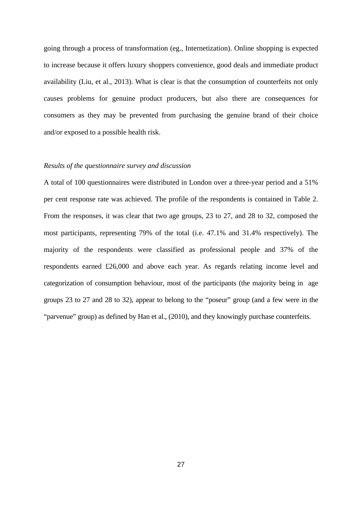going through a process of transformation (eg., Internetization). Online shopping is expected to increase because it offers luxury shoppers convenience, good deals and immediate product availability (Liu, et al., 2013). What is clear is that the consumption of counterfeits not only causes problems for genuine product producers, but also there are consequences for consumers as they may be prevented from purchasing the genuine brand of their choice and/or exposed to a possible health risk.

#### *Results of the questionnaire survey and discussion*

A total of 100 questionnaires were distributed in London over a three-year period and a 51% per cent response rate was achieved. The profile of the respondents is contained in Table 2. From the responses, it was clear that two age groups, 23 to 27, and 28 to 32, composed the most participants, representing 79% of the total (i.e. 47.1% and 31.4% respectively). The majority of the respondents were classified as professional people and 37% of the respondents earned £26,000 and above each year. As regards relating income level and categorization of consumption behaviour, most of the participants (the majority being in age groups 23 to 27 and 28 to 32), appear to belong to the "poseur" group (and a few were in the "parvenue" group) as defined by Han et al., (2010), and they knowingly purchase counterfeits.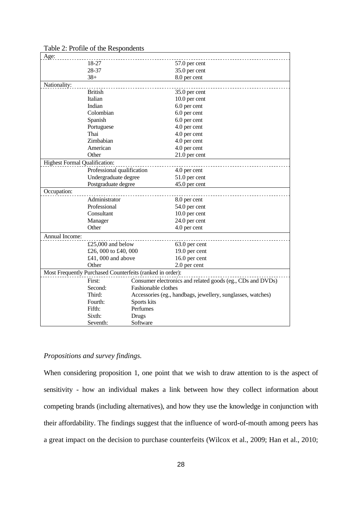| Age:                                                      |                                          |             |                                                             |  |  |  |
|-----------------------------------------------------------|------------------------------------------|-------------|-------------------------------------------------------------|--|--|--|
|                                                           | 18-27                                    |             | 57.0 per cent                                               |  |  |  |
|                                                           | 28-37                                    |             | 35.0 per cent                                               |  |  |  |
|                                                           | $38+$                                    |             | 8.0 per cent                                                |  |  |  |
| Nationality:                                              |                                          |             |                                                             |  |  |  |
|                                                           | <b>British</b>                           |             | 35.0 per cent                                               |  |  |  |
|                                                           | Italian                                  |             | 10.0 per cent                                               |  |  |  |
|                                                           | Indian                                   |             | 6.0 per cent                                                |  |  |  |
|                                                           | Colombian                                |             | 6.0 per cent                                                |  |  |  |
|                                                           | Spanish                                  |             | 6.0 per cent                                                |  |  |  |
|                                                           | Portuguese                               |             | 4.0 per cent                                                |  |  |  |
|                                                           | Thai                                     |             | 4.0 per cent                                                |  |  |  |
|                                                           | Zimbabian                                |             | 4.0 per cent                                                |  |  |  |
|                                                           | American                                 |             | 4.0 per cent                                                |  |  |  |
|                                                           | Other                                    |             | 21.0 per cent                                               |  |  |  |
| <b>Highest Formal Qualification:</b>                      |                                          |             |                                                             |  |  |  |
|                                                           | Professional qualification               |             | 4.0 per cent                                                |  |  |  |
|                                                           | Undergraduate degree                     |             | 51.0 per cent                                               |  |  |  |
|                                                           | Postgraduate degree                      |             | 45.0 per cent                                               |  |  |  |
| Occupation:                                               |                                          |             |                                                             |  |  |  |
|                                                           | Administrator                            |             | 8.0 per cent                                                |  |  |  |
|                                                           | Professional                             |             | 54.0 per cent                                               |  |  |  |
|                                                           | Consultant                               |             | 10.0 per cent                                               |  |  |  |
|                                                           | Manager                                  |             | 24.0 per cent                                               |  |  |  |
|                                                           | Other                                    |             | 4.0 per cent                                                |  |  |  |
| Annual Income:                                            |                                          |             |                                                             |  |  |  |
|                                                           | £25,000 and below                        |             | 63.0 per cent                                               |  |  |  |
|                                                           | £26,000 to £40,000                       |             | 19.0 per cent                                               |  |  |  |
|                                                           | £41,000 and above                        |             | 16.0 per cent                                               |  |  |  |
|                                                           | Other                                    |             | 2.0 per cent                                                |  |  |  |
|                                                           |                                          |             |                                                             |  |  |  |
| Most Frequently Purchased Counterfeits (ranked in order): |                                          |             |                                                             |  |  |  |
|                                                           | First:                                   |             | Consumer electronics and related goods (eg., CDs and DVDs)  |  |  |  |
|                                                           | Second:<br>Fashionable clothes<br>Third: |             |                                                             |  |  |  |
|                                                           |                                          |             | Accessories (eg., handbags, jewellery, sunglasses, watches) |  |  |  |
|                                                           | Fourth:                                  | Sports kits |                                                             |  |  |  |
|                                                           | Fifth:                                   | Perfumes    |                                                             |  |  |  |
|                                                           | Sixth:                                   | Drugs       |                                                             |  |  |  |
|                                                           | Seventh:                                 | Software    |                                                             |  |  |  |

## Table 2: Profile of the Respondents

## *Propositions and survey findings.*

When considering proposition 1, one point that we wish to draw attention to is the aspect of sensitivity - how an individual makes a link between how they collect information about competing brands (including alternatives), and how they use the knowledge in conjunction with their affordability. The findings suggest that the influence of word-of-mouth among peers has a great impact on the decision to purchase counterfeits (Wilcox et al., 2009; Han et al., 2010;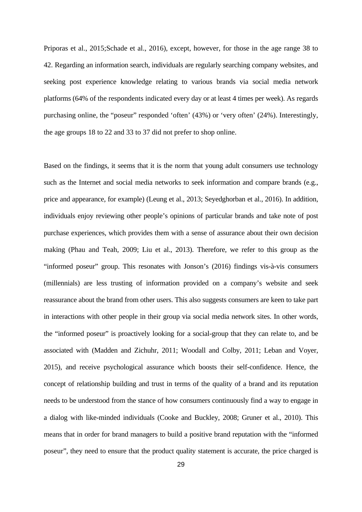Priporas et al., 2015;Schade et al., 2016), except, however, for those in the age range 38 to 42. Regarding an information search, individuals are regularly searching company websites, and seeking post experience knowledge relating to various brands via social media network platforms (64% of the respondents indicated every day or at least 4 times per week). As regards purchasing online, the "poseur" responded 'often' (43%) or 'very often' (24%). Interestingly, the age groups 18 to 22 and 33 to 37 did not prefer to shop online.

Based on the findings, it seems that it is the norm that young adult consumers use technology such as the Internet and social media networks to seek information and compare brands (e.g., price and appearance, for example) (Leung et al., 2013; Seyedghorban et al., 2016). In addition, individuals enjoy reviewing other people's opinions of particular brands and take note of post purchase experiences, which provides them with a sense of assurance about their own decision making (Phau and Teah, 2009; Liu et al., 2013). Therefore, we refer to this group as the "informed poseur" group. This resonates with Jonson's (2016) findings vis-à-vis consumers (millennials) are less trusting of information provided on a company's website and seek reassurance about the brand from other users. This also suggests consumers are keen to take part in interactions with other people in their group via social media network sites. In other words, the "informed poseur" is proactively looking for a social-group that they can relate to, and be associated with (Madden and Zichuhr, 2011; Woodall and Colby, 2011; Leban and Voyer, 2015), and receive psychological assurance which boosts their self-confidence. Hence, the concept of relationship building and trust in terms of the quality of a brand and its reputation needs to be understood from the stance of how consumers continuously find a way to engage in a dialog with like-minded individuals (Cooke and Buckley, 2008; Gruner et al., 2010). This means that in order for brand managers to build a positive brand reputation with the "informed poseur", they need to ensure that the product quality statement is accurate, the price charged is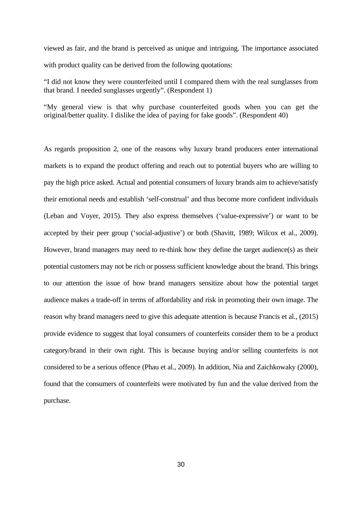viewed as fair, and the brand is perceived as unique and intriguing. The importance associated with product quality can be derived from the following quotations:

"I did not know they were counterfeited until I compared them with the real sunglasses from that brand. I needed sunglasses urgently". (Respondent 1)

"My general view is that why purchase counterfeited goods when you can get the original/better quality. I dislike the idea of paying for fake goods". (Respondent 40)

As regards proposition 2, one of the reasons why luxury brand producers enter international markets is to expand the product offering and reach out to potential buyers who are willing to pay the high price asked. Actual and potential consumers of luxury brands aim to achieve/satisfy their emotional needs and establish 'self-construal' and thus become more confident individuals (Leban and Voyer, 2015). They also express themselves ('value-expressive') or want to be accepted by their peer group ('social-adjustive') or both (Shavitt, 1989; Wilcox et al., 2009). However, brand managers may need to re-think how they define the target audience(s) as their potential customers may not be rich or possess sufficient knowledge about the brand. This brings to our attention the issue of how brand managers sensitize about how the potential target audience makes a trade-off in terms of affordability and risk in promoting their own image. The reason why brand managers need to give this adequate attention is because Francis et al., (2015) provide evidence to suggest that loyal consumers of counterfeits consider them to be a product category/brand in their own right. This is because buying and/or selling counterfeits is not considered to be a serious offence (Phau et al., 2009). In addition, Nia and Zaichkowaky (2000), found that the consumers of counterfeits were motivated by fun and the value derived from the purchase.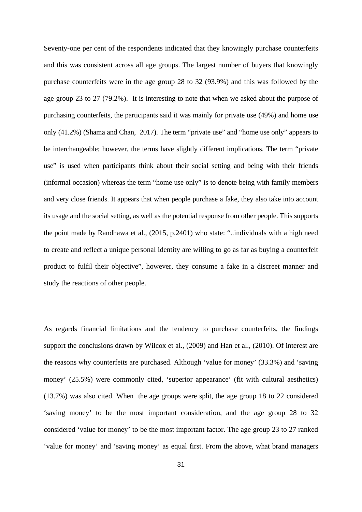Seventy-one per cent of the respondents indicated that they knowingly purchase counterfeits and this was consistent across all age groups. The largest number of buyers that knowingly purchase counterfeits were in the age group 28 to 32 (93.9%) and this was followed by the age group 23 to 27 (79.2%). It is interesting to note that when we asked about the purpose of purchasing counterfeits, the participants said it was mainly for private use (49%) and home use only (41.2%) (Shama and Chan, 2017). The term "private use" and "home use only" appears to be interchangeable; however, the terms have slightly different implications. The term "private use" is used when participants think about their social setting and being with their friends (informal occasion) whereas the term "home use only" is to denote being with family members and very close friends. It appears that when people purchase a fake, they also take into account its usage and the social setting, as well as the potential response from other people. This supports the point made by Randhawa et al., (2015, p.2401) who state: "..individuals with a high need to create and reflect a unique personal identity are willing to go as far as buying a counterfeit product to fulfil their objective", however, they consume a fake in a discreet manner and study the reactions of other people.

As regards financial limitations and the tendency to purchase counterfeits, the findings support the conclusions drawn by Wilcox et al., (2009) and Han et al., (2010). Of interest are the reasons why counterfeits are purchased. Although 'value for money' (33.3%) and 'saving money' (25.5%) were commonly cited, 'superior appearance' (fit with cultural aesthetics) (13.7%) was also cited. When the age groups were split, the age group 18 to 22 considered 'saving money' to be the most important consideration, and the age group 28 to 32 considered 'value for money' to be the most important factor. The age group 23 to 27 ranked 'value for money' and 'saving money' as equal first. From the above, what brand managers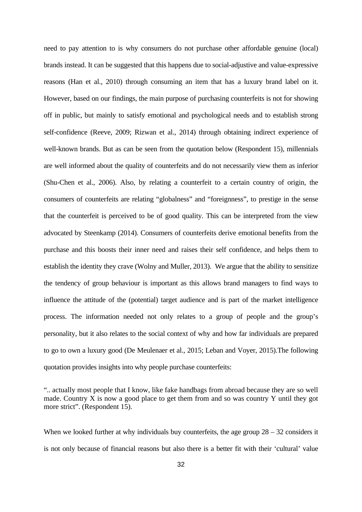need to pay attention to is why consumers do not purchase other affordable genuine (local) brands instead. It can be suggested that this happens due to social-adjustive and value-expressive reasons (Han et al., 2010) through consuming an item that has a luxury brand label on it. However, based on our findings, the main purpose of purchasing counterfeits is not for showing off in public, but mainly to satisfy emotional and psychological needs and to establish strong self-confidence (Reeve, 2009; Rizwan et al., 2014) through obtaining indirect experience of well-known brands. But as can be seen from the quotation below (Respondent 15), millennials are well informed about the quality of counterfeits and do not necessarily view them as inferior (Shu-Chen et al., 2006). Also, by relating a counterfeit to a certain country of origin, the consumers of counterfeits are relating "globalness" and "foreignness", to prestige in the sense that the counterfeit is perceived to be of good quality. This can be interpreted from the view advocated by Steenkamp (2014). Consumers of counterfeits derive emotional benefits from the purchase and this boosts their inner need and raises their self confidence, and helps them to establish the identity they crave (Wolny and Muller, 2013). We argue that the ability to sensitize the tendency of group behaviour is important as this allows brand managers to find ways to influence the attitude of the (potential) target audience and is part of the market intelligence process. The information needed not only relates to a group of people and the group's personality, but it also relates to the social context of why and how far individuals are prepared to go to own a luxury good (De Meulenaer et al., 2015; Leban and Voyer, 2015).The following quotation provides insights into why people purchase counterfeits:

When we looked further at why individuals buy counterfeits, the age group  $28 - 32$  considers it is not only because of financial reasons but also there is a better fit with their 'cultural' value

<sup>&</sup>quot;.. actually most people that I know, like fake handbags from abroad because they are so well made. Country X is now a good place to get them from and so was country Y until they got more strict". (Respondent 15).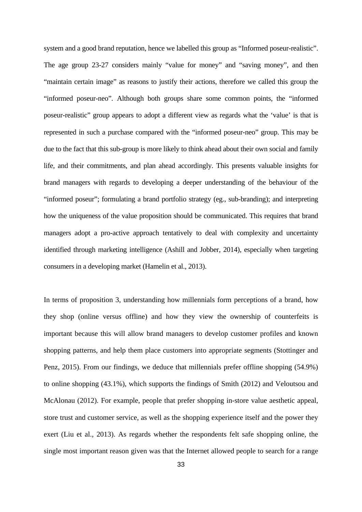system and a good brand reputation, hence we labelled this group as "Informed poseur-realistic". The age group 23-27 considers mainly "value for money" and "saving money", and then "maintain certain image" as reasons to justify their actions, therefore we called this group the "informed poseur-neo". Although both groups share some common points, the "informed poseur-realistic" group appears to adopt a different view as regards what the 'value' is that is represented in such a purchase compared with the "informed poseur-neo" group. This may be due to the fact that this sub-group is more likely to think ahead about their own social and family life, and their commitments, and plan ahead accordingly. This presents valuable insights for brand managers with regards to developing a deeper understanding of the behaviour of the "informed poseur"; formulating a brand portfolio strategy (eg., sub-branding); and interpreting how the uniqueness of the value proposition should be communicated. This requires that brand managers adopt a pro-active approach tentatively to deal with complexity and uncertainty identified through marketing intelligence (Ashill and Jobber, 2014), especially when targeting consumers in a developing market (Hamelin et al., 2013).

In terms of proposition 3, understanding how millennials form perceptions of a brand, how they shop (online versus offline) and how they view the ownership of counterfeits is important because this will allow brand managers to develop customer profiles and known shopping patterns, and help them place customers into appropriate segments (Stottinger and Penz, 2015). From our findings, we deduce that millennials prefer offline shopping (54.9%) to online shopping (43.1%), which supports the findings of Smith (2012) and Veloutsou and McAlonau (2012). For example, people that prefer shopping in-store value aesthetic appeal, store trust and customer service, as well as the shopping experience itself and the power they exert (Liu et al., 2013). As regards whether the respondents felt safe shopping online, the single most important reason given was that the Internet allowed people to search for a range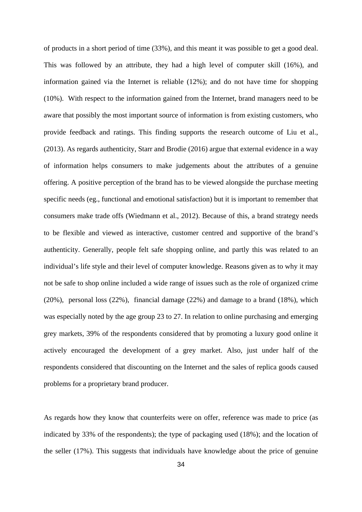of products in a short period of time (33%), and this meant it was possible to get a good deal. This was followed by an attribute, they had a high level of computer skill (16%), and information gained via the Internet is reliable (12%); and do not have time for shopping (10%). With respect to the information gained from the Internet, brand managers need to be aware that possibly the most important source of information is from existing customers, who provide feedback and ratings. This finding supports the research outcome of Liu et al., (2013). As regards authenticity, Starr and Brodie (2016) argue that external evidence in a way of information helps consumers to make judgements about the attributes of a genuine offering. A positive perception of the brand has to be viewed alongside the purchase meeting specific needs (eg., functional and emotional satisfaction) but it is important to remember that consumers make trade offs (Wiedmann et al., 2012). Because of this, a brand strategy needs to be flexible and viewed as interactive, customer centred and supportive of the brand's authenticity. Generally, people felt safe shopping online, and partly this was related to an individual's life style and their level of computer knowledge. Reasons given as to why it may not be safe to shop online included a wide range of issues such as the role of organized crime (20%), personal loss (22%), financial damage (22%) and damage to a brand (18%), which was especially noted by the age group 23 to 27. In relation to online purchasing and emerging grey markets, 39% of the respondents considered that by promoting a luxury good online it actively encouraged the development of a grey market. Also, just under half of the respondents considered that discounting on the Internet and the sales of replica goods caused problems for a proprietary brand producer.

As regards how they know that counterfeits were on offer, reference was made to price (as indicated by 33% of the respondents); the type of packaging used (18%); and the location of the seller (17%). This suggests that individuals have knowledge about the price of genuine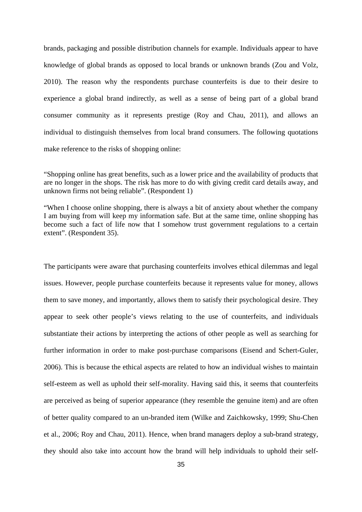brands, packaging and possible distribution channels for example. Individuals appear to have knowledge of global brands as opposed to local brands or unknown brands (Zou and Volz, 2010). The reason why the respondents purchase counterfeits is due to their desire to experience a global brand indirectly, as well as a sense of being part of a global brand consumer community as it represents prestige (Roy and Chau, 2011), and allows an individual to distinguish themselves from local brand consumers. The following quotations make reference to the risks of shopping online:

"Shopping online has great benefits, such as a lower price and the availability of products that are no longer in the shops. The risk has more to do with giving credit card details away, and unknown firms not being reliable". (Respondent 1)

"When I choose online shopping, there is always a bit of anxiety about whether the company I am buying from will keep my information safe. But at the same time, online shopping has become such a fact of life now that I somehow trust government regulations to a certain extent". (Respondent 35).

The participants were aware that purchasing counterfeits involves ethical dilemmas and legal issues. However, people purchase counterfeits because it represents value for money, allows them to save money, and importantly, allows them to satisfy their psychological desire. They appear to seek other people's views relating to the use of counterfeits, and individuals substantiate their actions by interpreting the actions of other people as well as searching for further information in order to make post-purchase comparisons (Eisend and Schert-Guler, 2006). This is because the ethical aspects are related to how an individual wishes to maintain self-esteem as well as uphold their self-morality. Having said this, it seems that counterfeits are perceived as being of superior appearance (they resemble the genuine item) and are often of better quality compared to an un-branded item (Wilke and Zaichkowsky, 1999; Shu-Chen et al., 2006; Roy and Chau, 2011). Hence, when brand managers deploy a sub-brand strategy, they should also take into account how the brand will help individuals to uphold their self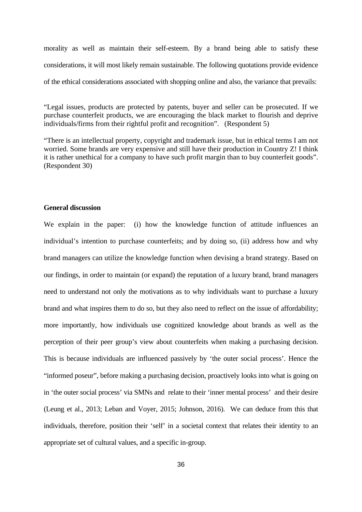morality as well as maintain their self-esteem. By a brand being able to satisfy these considerations, it will most likely remain sustainable. The following quotations provide evidence of the ethical considerations associated with shopping online and also, the variance that prevails:

"Legal issues, products are protected by patents, buyer and seller can be prosecuted. If we purchase counterfeit products, we are encouraging the black market to flourish and deprive individuals/firms from their rightful profit and recognition". (Respondent 5)

"There is an intellectual property, copyright and trademark issue, but in ethical terms I am not worried. Some brands are very expensive and still have their production in Country Z! I think it is rather unethical for a company to have such profit margin than to buy counterfeit goods". (Respondent 30)

#### **General discussion**

We explain in the paper: (i) how the knowledge function of attitude influences an individual's intention to purchase counterfeits; and by doing so, (ii) address how and why brand managers can utilize the knowledge function when devising a brand strategy. Based on our findings, in order to maintain (or expand) the reputation of a luxury brand, brand managers need to understand not only the motivations as to why individuals want to purchase a luxury brand and what inspires them to do so, but they also need to reflect on the issue of affordability; more importantly, how individuals use cognitized knowledge about brands as well as the perception of their peer group's view about counterfeits when making a purchasing decision. This is because individuals are influenced passively by 'the outer social process'. Hence the "informed poseur", before making a purchasing decision, proactively looks into what is going on in 'the outer social process' via SMNs and relate to their 'inner mental process' and their desire (Leung et al., 2013; Leban and Voyer, 2015; Johnson, 2016). We can deduce from this that individuals, therefore, position their 'self' in a societal context that relates their identity to an appropriate set of cultural values, and a specific in-group.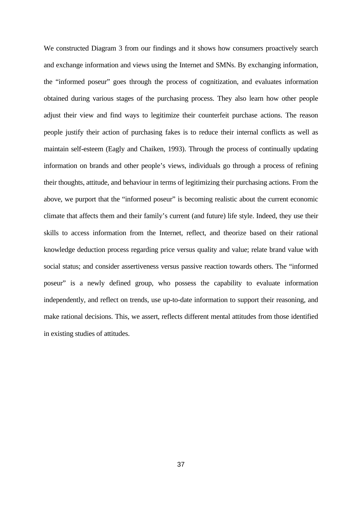We constructed Diagram 3 from our findings and it shows how consumers proactively search and exchange information and views using the Internet and SMNs. By exchanging information, the "informed poseur" goes through the process of cognitization, and evaluates information obtained during various stages of the purchasing process. They also learn how other people adjust their view and find ways to legitimize their counterfeit purchase actions. The reason people justify their action of purchasing fakes is to reduce their internal conflicts as well as maintain self-esteem (Eagly and Chaiken, 1993). Through the process of continually updating information on brands and other people's views, individuals go through a process of refining their thoughts, attitude, and behaviour in terms of legitimizing their purchasing actions. From the above, we purport that the "informed poseur" is becoming realistic about the current economic climate that affects them and their family's current (and future) life style. Indeed, they use their skills to access information from the Internet, reflect, and theorize based on their rational knowledge deduction process regarding price versus quality and value; relate brand value with social status; and consider assertiveness versus passive reaction towards others. The "informed poseur" is a newly defined group, who possess the capability to evaluate information independently, and reflect on trends, use up-to-date information to support their reasoning, and make rational decisions. This, we assert, reflects different mental attitudes from those identified in existing studies of attitudes.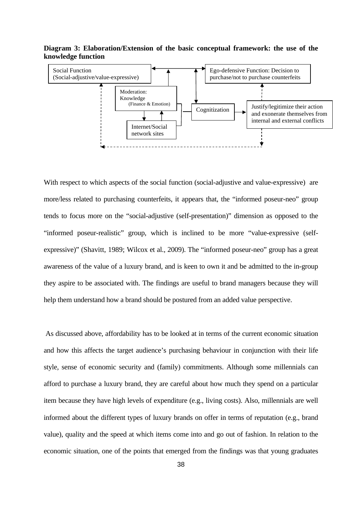**Diagram 3: Elaboration/Extension of the basic conceptual framework: the use of the knowledge function**



With respect to which aspects of the social function (social-adjustive and value-expressive) are more/less related to purchasing counterfeits, it appears that, the "informed poseur-neo" group tends to focus more on the "social-adjustive (self-presentation)" dimension as opposed to the "informed poseur-realistic" group, which is inclined to be more "value-expressive (selfexpressive)" (Shavitt, 1989; Wilcox et al., 2009). The "informed poseur-neo" group has a great awareness of the value of a luxury brand, and is keen to own it and be admitted to the in-group they aspire to be associated with. The findings are useful to brand managers because they will help them understand how a brand should be postured from an added value perspective.

 As discussed above, affordability has to be looked at in terms of the current economic situation and how this affects the target audience's purchasing behaviour in conjunction with their life style, sense of economic security and (family) commitments. Although some millennials can afford to purchase a luxury brand, they are careful about how much they spend on a particular item because they have high levels of expenditure (e.g., living costs). Also, millennials are well informed about the different types of luxury brands on offer in terms of reputation (e.g., brand value), quality and the speed at which items come into and go out of fashion. In relation to the economic situation, one of the points that emerged from the findings was that young graduates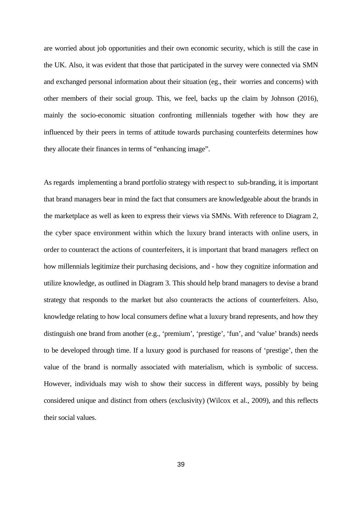are worried about job opportunities and their own economic security, which is still the case in the UK. Also, it was evident that those that participated in the survey were connected via SMN and exchanged personal information about their situation (eg., their worries and concerns) with other members of their social group. This, we feel, backs up the claim by Johnson (2016), mainly the socio-economic situation confronting millennials together with how they are influenced by their peers in terms of attitude towards purchasing counterfeits determines how they allocate their finances in terms of "enhancing image".

As regards implementing a brand portfolio strategy with respect to sub-branding, it is important that brand managers bear in mind the fact that consumers are knowledgeable about the brands in the marketplace as well as keen to express their views via SMNs. With reference to Diagram 2, the cyber space environment within which the luxury brand interacts with online users, in order to counteract the actions of counterfeiters, it is important that brand managers reflect on how millennials legitimize their purchasing decisions, and - how they cognitize information and utilize knowledge, as outlined in Diagram 3. This should help brand managers to devise a brand strategy that responds to the market but also counteracts the actions of counterfeiters. Also, knowledge relating to how local consumers define what a luxury brand represents, and how they distinguish one brand from another (e.g., 'premium', 'prestige', 'fun', and 'value' brands) needs to be developed through time. If a luxury good is purchased for reasons of 'prestige', then the value of the brand is normally associated with materialism, which is symbolic of success. However, individuals may wish to show their success in different ways, possibly by being considered unique and distinct from others (exclusivity) (Wilcox et al., 2009), and this reflects their social values.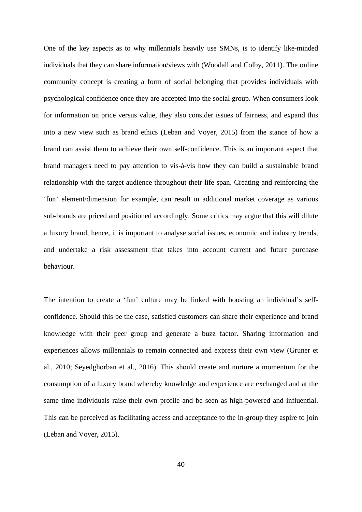One of the key aspects as to why millennials heavily use SMNs, is to identify like-minded individuals that they can share information/views with (Woodall and Colby, 2011). The online community concept is creating a form of social belonging that provides individuals with psychological confidence once they are accepted into the social group. When consumers look for information on price versus value, they also consider issues of fairness, and expand this into a new view such as brand ethics (Leban and Voyer, 2015) from the stance of how a brand can assist them to achieve their own self-confidence. This is an important aspect that brand managers need to pay attention to vis-à-vis how they can build a sustainable brand relationship with the target audience throughout their life span. Creating and reinforcing the 'fun' element/dimension for example, can result in additional market coverage as various sub-brands are priced and positioned accordingly. Some critics may argue that this will dilute a luxury brand, hence, it is important to analyse social issues, economic and industry trends, and undertake a risk assessment that takes into account current and future purchase behaviour.

The intention to create a 'fun' culture may be linked with boosting an individual's selfconfidence. Should this be the case, satisfied customers can share their experience and brand knowledge with their peer group and generate a buzz factor. Sharing information and experiences allows millennials to remain connected and express their own view (Gruner et al., 2010; Seyedghorban et al., 2016). This should create and nurture a momentum for the consumption of a luxury brand whereby knowledge and experience are exchanged and at the same time individuals raise their own profile and be seen as high-powered and influential. This can be perceived as facilitating access and acceptance to the in-group they aspire to join (Leban and Voyer, 2015).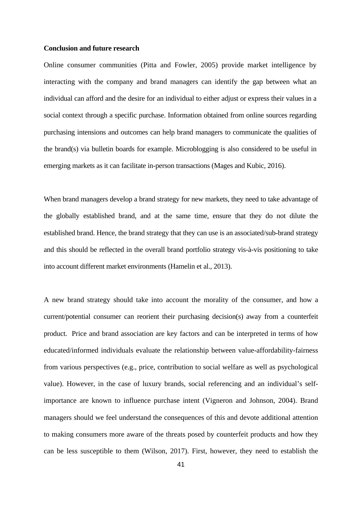#### **Conclusion and future research**

Online consumer communities (Pitta and Fowler, 2005) provide market intelligence by interacting with the company and brand managers can identify the gap between what an individual can afford and the desire for an individual to either adjust or express their values in a social context through a specific purchase. Information obtained from online sources regarding purchasing intensions and outcomes can help brand managers to communicate the qualities of the brand(s) via bulletin boards for example. Microblogging is also considered to be useful in emerging markets as it can facilitate in-person transactions (Mages and Kubic, 2016).

When brand managers develop a brand strategy for new markets, they need to take advantage of the globally established brand, and at the same time, ensure that they do not dilute the established brand. Hence, the brand strategy that they can use is an associated/sub-brand strategy and this should be reflected in the overall brand portfolio strategy vis-à-vis positioning to take into account different market environments (Hamelin et al., 2013).

A new brand strategy should take into account the morality of the consumer, and how a current/potential consumer can reorient their purchasing decision(s) away from a counterfeit product. Price and brand association are key factors and can be interpreted in terms of how educated/informed individuals evaluate the relationship between value-affordability-fairness from various perspectives (e.g., price, contribution to social welfare as well as psychological value). However, in the case of luxury brands, social referencing and an individual's selfimportance are known to influence purchase intent (Vigneron and Johnson, 2004). Brand managers should we feel understand the consequences of this and devote additional attention to making consumers more aware of the threats posed by counterfeit products and how they can be less susceptible to them (Wilson, 2017). First, however, they need to establish the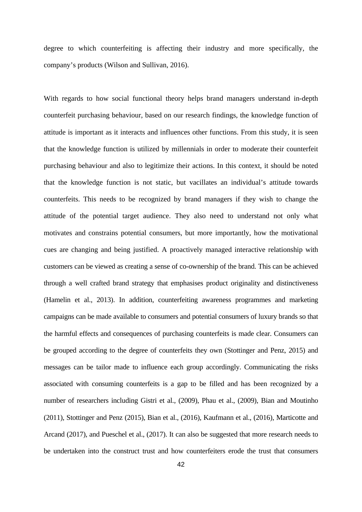degree to which counterfeiting is affecting their industry and more specifically, the company's products (Wilson and Sullivan, 2016).

With regards to how social functional theory helps brand managers understand in-depth counterfeit purchasing behaviour, based on our research findings, the knowledge function of attitude is important as it interacts and influences other functions. From this study, it is seen that the knowledge function is utilized by millennials in order to moderate their counterfeit purchasing behaviour and also to legitimize their actions. In this context, it should be noted that the knowledge function is not static, but vacillates an individual's attitude towards counterfeits. This needs to be recognized by brand managers if they wish to change the attitude of the potential target audience. They also need to understand not only what motivates and constrains potential consumers, but more importantly, how the motivational cues are changing and being justified. A proactively managed interactive relationship with customers can be viewed as creating a sense of co-ownership of the brand. This can be achieved through a well crafted brand strategy that emphasises product originality and distinctiveness (Hamelin et al., 2013). In addition, counterfeiting awareness programmes and marketing campaigns can be made available to consumers and potential consumers of luxury brands so that the harmful effects and consequences of purchasing counterfeits is made clear. Consumers can be grouped according to the degree of counterfeits they own (Stottinger and Penz, 2015) and messages can be tailor made to influence each group accordingly. Communicating the risks associated with consuming counterfeits is a gap to be filled and has been recognized by a number of researchers including Gistri et al., (2009), Phau et al., (2009), Bian and Moutinho (2011), Stottinger and Penz (2015), Bian et al., (2016), Kaufmann et al., (2016), Marticotte and Arcand (2017), and Pueschel et al., (2017). It can also be suggested that more research needs to be undertaken into the construct trust and how counterfeiters erode the trust that consumers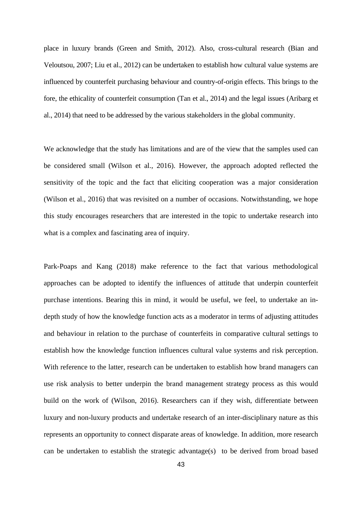place in luxury brands (Green and Smith, 2012). Also, cross-cultural research (Bian and Veloutsou, 2007; Liu et al., 2012) can be undertaken to establish how cultural value systems are influenced by counterfeit purchasing behaviour and country-of-origin effects. This brings to the fore, the ethicality of counterfeit consumption (Tan et al., 2014) and the legal issues (Aribarg et al., 2014) that need to be addressed by the various stakeholders in the global community.

We acknowledge that the study has limitations and are of the view that the samples used can be considered small (Wilson et al., 2016). However, the approach adopted reflected the sensitivity of the topic and the fact that eliciting cooperation was a major consideration (Wilson et al., 2016) that was revisited on a number of occasions. Notwithstanding, we hope this study encourages researchers that are interested in the topic to undertake research into what is a complex and fascinating area of inquiry.

Park-Poaps and Kang (2018) make reference to the fact that various methodological approaches can be adopted to identify the influences of attitude that underpin counterfeit purchase intentions. Bearing this in mind, it would be useful, we feel, to undertake an indepth study of how the knowledge function acts as a moderator in terms of adjusting attitudes and behaviour in relation to the purchase of counterfeits in comparative cultural settings to establish how the knowledge function influences cultural value systems and risk perception. With reference to the latter, research can be undertaken to establish how brand managers can use risk analysis to better underpin the brand management strategy process as this would build on the work of (Wilson, 2016). Researchers can if they wish, differentiate between luxury and non-luxury products and undertake research of an inter-disciplinary nature as this represents an opportunity to connect disparate areas of knowledge. In addition, more research can be undertaken to establish the strategic advantage(s) to be derived from broad based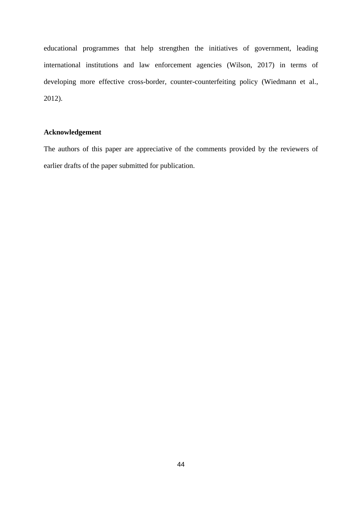educational programmes that help strengthen the initiatives of government, leading international institutions and law enforcement agencies (Wilson, 2017) in terms of developing more effective cross-border, counter-counterfeiting policy (Wiedmann et al., 2012).

## **Acknowledgement**

The authors of this paper are appreciative of the comments provided by the reviewers of earlier drafts of the paper submitted for publication.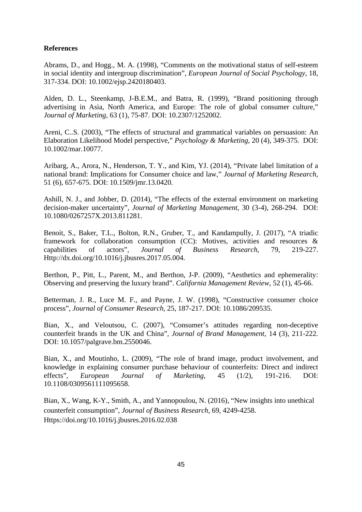## **References**

Abrams, D., and Hogg., M. A. (1998), "Comments on the motivational status of self-esteem in social identity and intergroup discrimination", *European Journal of Social Psychology*, 18, 317-334. DOI: 10.1002/ejsp.2420180403.

Alden, D. L., Steenkamp, J-B.E.M., and Batra, R. (1999), "Brand positioning through advertising in Asia, North America, and Europe: The role of global consumer culture," *Journal of Marketing*, 63 (1), 75-87. DOI: 10.2307/1252002.

Areni, C..S. (2003), "The effects of structural and grammatical variables on persuasion: An Elaboration Likelihood Model perspective," *Psychology & Marketing*, 20 (4), 349-375. DOI: 10.1002/mar.10077.

Aribarg, A., Arora, N., Henderson, T. Y., and Kim, YJ. (2014), "Private label limitation of a national brand: Implications for Consumer choice and law," *Journal of Marketing Research*, 51 (6), 657-675. DOI: 10.1509/jmr.13.0420.

Ashill, N. J., and Jobber, D. (2014), "The effects of the external environment on marketing decision-maker uncertainty", *Journal of Marketing Management*, 30 (3-4), 268-294. DOI: 10.1080/0267257X.2013.811281.

Benoit, S., Baker, T.L., Bolton, R.N., Gruber, T., and Kandampully, J. (2017), "A triadic framework for collaboration consumption (CC): Motives, activities and resources & capabilities of actors", *Journal of Business Research*, 79, 219-227. Http://dx.doi.org/10.1016/j.jbusres.2017.05.004.

Berthon, P., Pitt, L., Parent, M., and Berthon, J-P. (2009), "Aesthetics and ephemerality: Observing and preserving the luxury brand". *California Management Review*, 52 (1), 45-66.

Betterman, J. R., Luce M. F., and Payne, J. W. (1998), "Constructive consumer choice process", *Journal of Consumer Research*, 25, 187-217. DOI: 10.1086/209535.

Bian, X., and Veloutsou, C. (2007), "Consumer's attitudes regarding non-deceptive counterfeit brands in the UK and China", *Journal of Brand Management*, 14 (3), 211-222. DOI: 10.1057/palgrave.bm.2550046.

Bian, X., and Moutinho, L. (2009), "The role of brand image, product involvement, and knowledge in explaining consumer purchase behaviour of counterfeits: Direct and indirect effects", *European Journal of Marketing*, 45 (1/2), 191-216. DOI: 10.1108/0309561111095658.

Bian, X., Wang, K-Y., Smith, A., and Yannopoulou, N. (2016), "New insights into unethical counterfeit consumption", *Journal of Business Research*, 69, 4249-4258. Https://doi.org/10.1016/j.jbusres.2016.02.038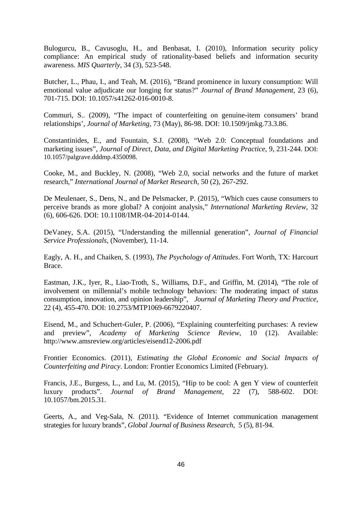Bulogurcu, B., Cavusoglu, H., and Benbasat, I. (2010), Information security policy compliance: An empirical study of rationality-based beliefs and information security awareness. *MIS Quarterly*, 34 (3), 523-548.

Butcher, L., Phau, I., and Teah, M. (2016), "Brand prominence in luxury consumption: Will emotional value adjudicate our longing for status?" *Journal of Brand Management*, 23 (6), 701-715. DOI: 10.1057/s41262-016-0010-8.

Commuri, S.. (2009), "The impact of counterfeiting on genuine-item consumers' brand relationships', *Journal of Marketing*, 73 (May), 86-98. DOI: [10.1509/jmkg.73.3.86.](https://doi.org/10.1509/jmkg.73.3.86)

Constantinides, E., and Fountain, S.J. (2008), "Web 2.0: Conceptual foundations and marketing issues", *Journal of Direct, Data, and Digital Marketing Practice*, 9, 231-244. DOI: 10.1057/palgrave.dddmp.4350098.

Cooke, M., and Buckley, N. (2008), "Web 2.0, social networks and the future of market research," *International Journal of Market Research*, 50 (2), 267-292.

De Meulenaer, S., Dens, N., and De Pelsmacker, P. (2015), "Which cues cause consumers to perceive brands as more global? A conjoint analysis," *International Marketing Review*, 32 (6), 606-626. DOI: [10.1108/IMR-04-2014-0144.](https://doi.org/10.1108/IMR-04-2014-0144)

DeVaney, S.A. (2015), "Understanding the millennial generation", *Journal of Financial Service Professionals*, (November), 11-14.

Eagly, A. H., and Chaiken, S. (1993), *The Psychology of Attitudes*. Fort Worth, TX: Harcourt Brace.

Eastman, J.K., Iyer, R., Liao-Troth, S., Williams, D.F., and Griffin, M. (2014), "The role of involvement on millennial's mobile technology behaviors: The moderating impact of status consumption, innovation, and opinion leadership", *Journal of Marketing Theory and Practice*, 22 (4), 455-470. DOI: 10.2753/MTP1069-6679220407.

Eisend, M., and Schuchert-Guler, P. (2006), "Explaining counterfeiting purchases: A review and preview", *Academy of Marketing Science Review*, 10 (12). Available: http://www.amsreview.org/articles/eisend12-2006.pdf

Frontier Economics. (2011), *Estimating the Global Economic and Social Impacts of Counterfeiting and Piracy*. London: Frontier Economics Limited (February).

Francis, J.E., Burgess, L., and Lu, M. (2015), "Hip to be cool: A gen Y view of counterfeit luxury products". *Journal of Brand Management*, 22 (7), 588-602. DOI: 10.1057/bm.2015.31.

Geerts, A., and Veg-Sala, N. (2011). "Evidence of Internet communication management strategies for luxury brands", *Global Journal of Business Research*, 5 (5), 81-94.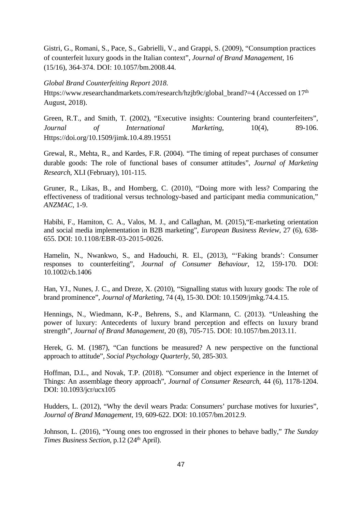Gistri, G., Romani, S., Pace, S., Gabrielli, V., and Grappi, S. (2009), "Consumption practices of counterfeit luxury goods in the Italian context", *Journal of Brand Management*, 16 (15/16), 364-374. DOI: 10.1057/bm.2008.44.

#### *Global Brand Counterfeiting Report 2018.*

Https://www.researchandmarkets.com/research/hzjb9c/global\_brand?=4 (Accessed on 17<sup>th</sup>) August, 2018).

Green, R.T., and Smith, T. (2002), "Executive insights: Countering brand counterfeiters", *Journal of International Marketing*, 10(4), 89-106. Https://doi.org/10.1509/jimk.10.4.89.19551

Grewal, R., Mehta, R., and Kardes, F.R. (2004). "The timing of repeat purchases of consumer durable goods: The role of functional bases of consumer attitudes", *Journal of Marketing Research*, XLI (February), 101-115.

Gruner, R., Likas, B., and Homberg, C. (2010), "Doing more with less? Comparing the effectiveness of traditional versus technology-based and participant media communication," *ANZMAC,* 1-9.

Habibi, F., Hamiton, C. A., Valos, M. J., and Callaghan, M. (2015),"E-marketing orientation and social media implementation in B2B marketing", *European Business Review*, 27 (6), 638- 655. DOI: [10.1108/EBR-03-2015-0026.](https://doi.org/10.1108/EBR-03-2015-0026)

Hamelin, N., Nwankwo, S., and Hadouchi, R. El., (2013), "'Faking brands': Consumer responses to counterfeiting", *Journal of Consumer Behaviour*, 12, 159-170. DOI: 10.1002/cb.1406

Han, YJ., Nunes, J. C., and Dreze, X. (2010), "Signalling status with luxury goods: The role of brand prominence", *Journal of Marketing*, 74 (4), 15-30. DOI: [10.1509/jmkg.74.4.15](https://doi.org/10.1509/jmkg.74.4.15).

Hennings, N., Wiedmann, K-P., Behrens, S., and Klarmann, C. (2013). "Unleashing the power of luxury: Antecedents of luxury brand perception and effects on luxury brand strength", *Journal of Brand Management*, 20 (8), 705-715. DOI: 10.1057/bm.2013.11.

Herek, G. M. (1987), "Can functions be measured? A new perspective on the functional approach to attitude", *Social Psychology Quarterly*, 50, 285-303.

Hoffman, D.L., and Novak, T.P. (2018). "Consumer and object experience in the Internet of Things: An assemblage theory approach", *Journal of Consumer Research*, 44 (6), 1178-1204. DOI: 10.1093/jcr/ucx105

Hudders, L. (2012), "Why the devil wears Prada: Consumers' purchase motives for luxuries", *Journal of Brand Management*, 19, 609-622. DOI: 10.1057/bm.2012.9.

Johnson, L. (2016), "Young ones too engrossed in their phones to behave badly," *The Sunday Times Business Section, p.12 (24<sup>th</sup> April).*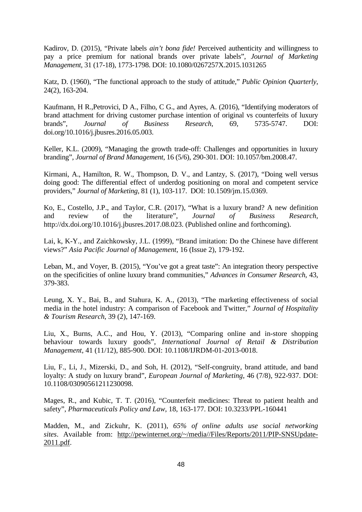Kadirov, D. (2015), "Private labels *ain't bona fide!* Perceived authenticity and willingness to pay a price premium for national brands over private labels", *Journal of Marketing Management*, 31 (17-18), 1773-1798. DOI: 10.1080/0267257X.2015.1031265

Katz, D. (1960), "The functional approach to the study of attitude," *Public Opinion Quarterly*, 24(2), 163-204.

Kaufmann, H R.,Petrovici, D A., Filho, C G., and Ayres, A. (2016), "Identifying moderators of brand attachment for driving customer purchase intention of original vs counterfeits of luxury brands", *Journal of Business Research*, 69, 5735-5747. DOI: doi.org/10.1016/j.jbusres.2016.05.003.

Keller, K.L. (2009), "Managing the growth trade-off: Challenges and opportunities in luxury branding", *Journal of Brand Management*, 16 (5/6), 290-301. DOI: 10.1057/bm.2008.47.

Kirmani, A., Hamilton, R. W., Thompson, D. V., and Lantzy, S. (2017), "Doing well versus doing good: The differential effect of underdog positioning on moral and competent service providers," *Journal of Marketing*, 81 (1), 103-117. DOI: [10.1509/jm.15.0369](https://doi.org/10.1509/jm.15.0369).

Ko, E., Costello, J.P., and Taylor, C.R. (2017), "What is a luxury brand? A new definition and review of the literature", *Journal of Business Research*, http://dx.doi.org/10.1016/j.jbusres.2017.08.023. (Published online and forthcoming).

Lai, k, K-Y., and Zaichkowsky, J.L. (1999), "Brand imitation: Do the Chinese have different views?" *Asia Pacific Journal of Management*, 16 (Issue 2), 179-192.

Leban, M., and Voyer, B. (2015), "You've got a great taste": An integration theory perspective on the specificities of online luxury brand communities," *Advances in Consumer Research*, 43, 379-383.

Leung, X. Y., Bai, B., and Stahura, K. A., (2013), "The marketing effectiveness of social media in the hotel industry: A comparison of Facebook and Twitter," *Journal of Hospitality & Tourism Research*, 39 (2), 147-169.

Liu, X., Burns, A.C., and Hou, Y. (2013), "Comparing online and in-store shopping behaviour towards luxury goods", *International Journal of Retail & Distribution Management*, 41 (11/12), 885-900. DOI: 10.1108/IJRDM-01-2013-0018.

Liu, F., Li, J., Mizerski, D., and Soh, H. (2012), "Self-congruity, brand attitude, and band loyalty: A study on luxury brand", *European Journal of Marketing*, 46 (7/8), 922-937. DOI: 10.1108/03090561211230098.

Mages, R., and Kubic, T. T. (2016), "Counterfeit medicines: Threat to patient health and safety", *Pharmaceuticals Policy and Law*, 18, 163-177. DOI: 10.3233/PPL-160441

Madden, M., and Zickuhr, K. (2011), *65% of online adults use social networking sites*. Available from: [http://pewinternet.org/~/media//Files/Reports/2011/PIP-SNSUpdate-](http://pewinternet.org/~/media//Files/Reports/2011/PIP-SNSUpdate-2011.pdf)[2011.pdf.](http://pewinternet.org/~/media//Files/Reports/2011/PIP-SNSUpdate-2011.pdf)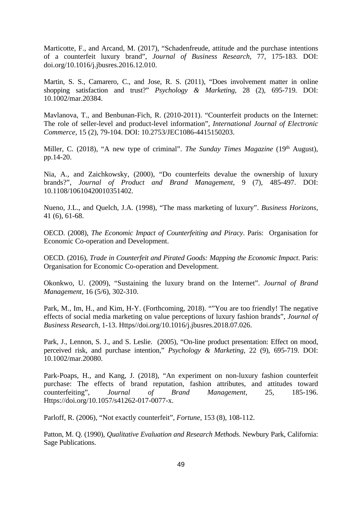Marticotte, F., and Arcand, M. (2017), "Schadenfreude, attitude and the purchase intentions of a counterfeit luxury brand", *Journal of Business Research*, 77, 175-183. DOI: doi.org/10.1016/j.jbusres.2016.12.010.

Martin, S. S., Camarero, C., and Jose, R. S. (2011), "Does involvement matter in online shopping satisfaction and trust?" *Psychology & Marketing*, 28 (2), 695-719. DOI: 10.1002/mar.20384.

Mavlanova, T., and Benbunan-Fich, R. (2010-2011). "Counterfeit products on the Internet: The role of seller-level and product-level information", *International Journal of Electronic Commerce*, 15 (2), 79-104. DOI: 10.2753/JEC1086-4415150203.

Miller, C. (2018), "A new type of criminal". *The Sunday Times Magazine* (19<sup>th</sup> August), pp.14-20.

Nia, A., and Zaichkowsky, (2000), "Do counterfeits devalue the ownership of luxury brands?", *Journal of Product and Brand Management*, 9 (7), 485-497. DOI: 10.1108/10610420010351402.

Nueno, J.L., and Quelch, J.A. (1998), "The mass marketing of luxury". *Business Horizons*, 41 (6), 61-68.

OECD. (2008), *The Economic Impact of Counterfeiting and Piracy*. Paris: Organisation for Economic Co-operation and Development.

OECD. (2016), *Trade in Counterfeit and Pirated Goods: Mapping the Economic Impact*. Paris: Organisation for Economic Co-operation and Development.

Okonkwo, U. (2009), "Sustaining the luxury brand on the Internet". *Journal of Brand Management*, 16 (5/6), 302-310.

Park, M., Im, H., and Kim, H-Y. (Forthcoming, 2018). ""You are too friendly! The negative effects of social media marketing on value perceptions of luxury fashion brands", *Journal of Business Research*, 1-13. Https//doi.org/10.1016/j.jbusres.2018.07.026.

Park, J., Lennon, S. J., and S. Leslie. (2005), "On-line product presentation: Effect on mood, perceived risk, and purchase intention," *Psychology & Marketing*, 22 (9), 695-719. DOI: 10.1002/mar.20080.

Park-Poaps, H., and Kang, J. (2018), "An experiment on non-luxury fashion counterfeit purchase: The effects of brand reputation, fashion attributes, and attitudes toward counterfeiting", *Journal of Brand Management*, 25, 185-196. Https://doi.org/10.1057/s41262-017-0077-x.

Parloff, R. (2006), "Not exactly counterfeit", *Fortune,* 153 (8), 108-112.

Patton, M. Q. (1990), *Qualitative Evaluation and Research Methods*. Newbury Park, California: Sage Publications.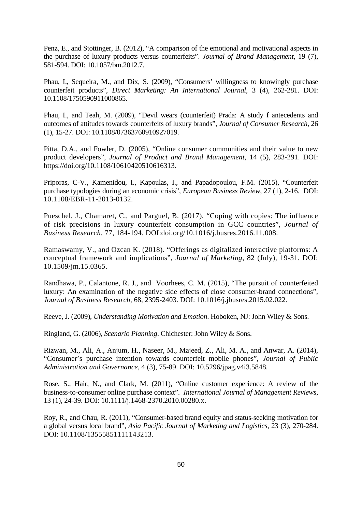Penz, E., and Stottinger, B. (2012), "A comparison of the emotional and motivational aspects in the purchase of luxury products versus counterfeits". *Journal of Brand Management*, 19 (7), 581-594. DOI: 10.1057/bm.2012.7.

Phau, I., Sequeira, M., and Dix, S. (2009), "Consumers' willingness to knowingly purchase counterfeit products", *Direct Marketing: An International Journal*, 3 (4), 262-281. DOI: 10.1108/1750590911000865.

Phau, I., and Teah, M. (2009), "Devil wears (counterfeit) Prada: A study f antecedents and outcomes of attitudes towards counterfeits of luxury brands", *Journal of Consumer Research*, 26 (1), 15-27. DOI: 10.1108/07363760910927019.

Pitta, D.A., and Fowler, D. (2005), "Online consumer communities and their value to new product developers", *Journal of Product and Brand Management*, 14 (5), 283-291. DOI: <https://doi.org/10.1108/10610420510616313>.

Priporas, C-V., Kamenidou, I., Kapoulas, I., and Papadopoulou, F.M. (2015), "Counterfeit purchase typologies during an economic crisis", *European Business Review*, 27 (1), 2-16. DOI: [10.1108/EBR-11-2013-0132.](https://doi.org/10.1108/EBR-11-2013-0132)

Pueschel, J., Chamaret, C., and Parguel, B. (2017), "Coping with copies: The influence of risk precisions in luxury counterfeit consumption in GCC countries", *Journal of Business Research*, 77, 184-194. DOI:doi.org/10.1016/j.busres.2016.11.008.

Ramaswamy, V., and Ozcan K. (2018). "Offerings as digitalized interactive platforms: A conceptual framework and implications", *Journal of Marketing*, 82 (July), 19-31. DOI: 10.1509/jm.15.0365.

Randhawa, P., Calantone, R. J., and Voorhees, C. M. (2015), "The pursuit of counterfeited luxury: An examination of the negative side effects of close consumer-brand connections", *Journal of Business Research*, 68, 2395-2403. DOI: [10.1016/j.jbusres.2015.02.022.](https://doi.org/10.1016/j.jbusres.2015.02.022)

Reeve, J. (2009), *Understanding Motivation and Emotion*. Hoboken, NJ: John Wiley & Sons.

Ringland, G. (2006), *Scenario Planning*. Chichester: John Wiley & Sons.

Rizwan, M., Ali, A., Anjum, H., Naseer, M., Majeed, Z., Ali, M. A., and Anwar, A. (2014), "Consumer's purchase intention towards counterfeit mobile phones", *Journal of Public Administration and Governance*, 4 (3), 75-89. DOI: [10.5296/jpag.v4i3.5848.](https://doi.org/10.5296/jpag.v4i3.5848)

Rose, S., Hair, N., and Clark, M. (2011), "Online customer experience: A review of the business-to-consumer online purchase context". *International Journal of Management Reviews*, 13 (1), 24-39. DOI: 10.1111/j.1468-2370.2010.00280.x.

Roy, R., and Chau, R. (2011), "Consumer-based brand equity and status-seeking motivation for a global versus local brand", *Asia Pacific Journal of Marketing and Logistics*, 23 (3), 270-284. DOI: [10.1108/13555851111143213](https://doi.org/10.1108/13555851111143213).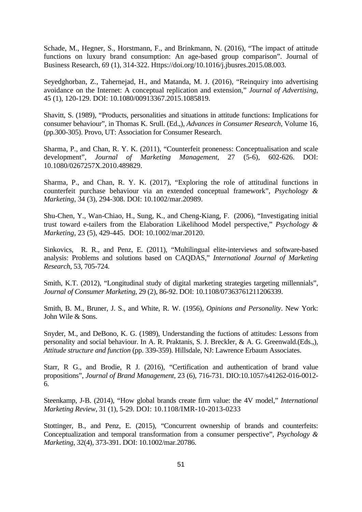[Schade, M., Hegner, S., Horstmann, F., and Brinkmann, N. \(2016\),](https://www.sciencedirect.com/science/article/abs/pii/S0148296315003409#!) "The impact of attitude functions on luxury brand consumption: An age-based group comparison". [Journal of](https://www.sciencedirect.com/science/journal/01482963)  [Business Research,](https://www.sciencedirect.com/science/journal/01482963) 69 (1), 314-322. Https://doi.org/10.1016/j.jbusres.2015.08.003.

Seyedghorban, Z., Tahernejad, H., and Matanda, M. J. (2016), "Reinquiry into advertising avoidance on the Internet: A conceptual replication and extension," *Journal of Advertising*, 45 (1), 120-129. DOI: [10.1080/00913367.2015.1085819.](http://dx.doi.org/10.1080/00913367.2015.1085819)

Shavitt, S. (1989), "Products, personalities and situations in attitude functions: Implications for consumer behaviour", in Thomas K. Srull. (Ed.,), *Advances in Consumer Research*, Volume 16, (pp.300-305). Provo, UT: Association for Consumer Research.

Sharma, P., and Chan, R. Y. K. (2011), "Counterfeit proneness: Conceptualisation and scale development", *Journal of Marketing Management*, 27 (5-6), 602-626. DOI: [10.1080/0267257X.2010.489829](http://dx.doi.org/10.1080/0267257X.2010.489829).

Sharma, P., and Chan, R. Y. K. (2017), "Exploring the role of attitudinal functions in counterfeit purchase behaviour via an extended conceptual framework", *Psychology & Marketing*, 34 (3), 294-308. DOI: 10.1002/mar.20989.

Shu-Chen, Y., Wan-Chiao, H., Sung, K., and Cheng-Kiang, F. (2006), "Investigating initial trust toward e-tailers from the Elaboration Likelihood Model perspective," *Psychology & Marketing*, 23 (5), 429-445. DOI: 10.1002/mar.20120.

Sinkovics, R. R., and Penz, E. (2011), "Multilingual elite-interviews and software-based analysis: Problems and solutions based on CAQDAS," *International Journal of Marketing Research*, 53, 705-724.

Smith, K.T. (2012), "Longitudinal study of digital marketing strategies targeting millennials", *Journal of Consumer Marketing*, 29 (2), 86-92. DOI: 10.1108/07363761211206339.

Smith, B. M., Bruner, J. S., and White, R. W. (1956), *Opinions and Personality*. New York: John Wile & Sons.

Snyder, M., and DeBono, K. G. (1989), Understanding the fuctions of attitudes: Lessons from personality and social behaviour. In A. R. Praktanis, S. J. Breckler, & A. G. Greenwald.(Eds.,), *Attitude structure and function* (pp. 339-359). Hillsdale, NJ: Lawrence Erbaum Associates.

Starr, R G., and Brodie, R J. (2016), "Certification and authentication of brand value propositions", *Journal of Brand Management*, 23 (6), 716-731. DIO:10.1057/s41262-016-0012- 6.

Steenkamp, J-B. (2014), "How global brands create firm value: the 4V model," *International Marketing Review*, 31 (1), 5-29. DOI: [10.1108/IMR-10-2013-0233](https://doi.org/10.1108/IMR-10-2013-0233)

Stottinger, B., and Penz, E. (2015), "Concurrent ownership of brands and counterfeits: Conceptualization and temporal transformation from a consumer perspective", *Psychology & Marketing*, 32(4), 373-391. DOI: 10.1002/mar.20786.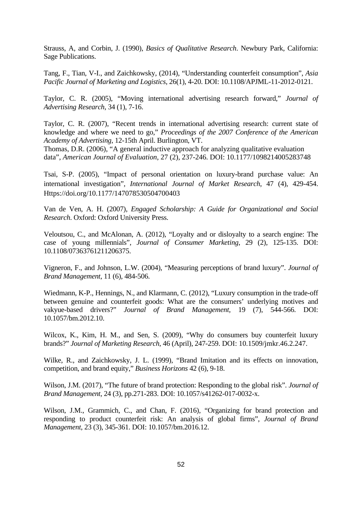Strauss, A, and Corbin, J. (1990), *Basics of Qualitative Research*. Newbury Park, California: Sage Publications.

Tang, F., Tian, V-I., and Zaichkowsky, (2014), "Understanding counterfeit consumption", *Asia Pacific Journal of Marketing and Logistics*, 26(1), 4-20. DOI: 10.1108/APJML-11-2012-0121.

Taylor, C. R. (2005), "Moving international advertising research forward," *Journal of Advertising Research*, 34 (1), 7-16.

Taylor, C. R. (2007), "Recent trends in international advertising research: current state of knowledge and where we need to go," *Proceedings of the 2007 Conference of the American Academy of Advertising*, 12-15th April. Burlington, VT.

Thomas, D.R. (2006), "A general inductive approach for analyzing qualitative evaluation data", *American Journal of Evaluation*, 27 (2), 237-246. DOI: 10.1177/1098214005283748

Tsai, S-P. (2005), "Impact of personal orientation on luxury-brand purchase value: An international investigation", *International Journal of Market Research*, 47 (4), 429-454. Https://doi.org/10.1177/147078530504700403

Van de Ven, A. H. (2007), *Engaged Scholarship: A Guide for Organizational and Social Research*. Oxford: Oxford University Press.

Veloutsou, C., and McAlonan, A. (2012), "Loyalty and or disloyalty to a search engine: The case of young millennials", *Journal of Consumer Marketing*, 29 (2), 125-135. DOI: 10.1108/07363761211206375.

Vigneron, F., and Johnson, L.W. (2004), "Measuring perceptions of brand luxury". *Journal of Brand Management*, 11 (6), 484-506.

Wiedmann, K-P., Hennings, N., and Klarmann, C. (2012), "Luxury consumption in the trade-off between genuine and counterfeit goods: What are the consumers' underlying motives and vakyue-based drivers?" *Journal of Brand Management*, 19 (7), 544-566. DOI: 10.1057/bm.2012.10.

Wilcox, K., Kim, H. M., and Sen, S. (2009), "Why do consumers buy counterfeit luxury brands?" *Journal of Marketing Research*, 46 (April), 247-259. DOI: [10.1509/jmkr.46.2.247.](https://doi.org/10.1509/jmkr.46.2.247)

Wilke, R., and Zaichkowsky, J. L. (1999), "Brand Imitation and its effects on innovation, competition, and brand equity," *Business Horizons* 42 (6), 9-18.

Wilson, J.M. (2017), "The future of brand protection: Responding to the global risk". *Journal of Brand Management*, 24 (3), pp.271-283. DOI: 10.1057/s41262-017-0032-x.

Wilson, J.M., Grammich, C., and Chan, F. (2016), "Organizing for brand protection and responding to product counterfeit risk: An analysis of global firms", *Journal of Brand Management*, 23 (3), 345-361. DOI: 10.1057/bm.2016.12.